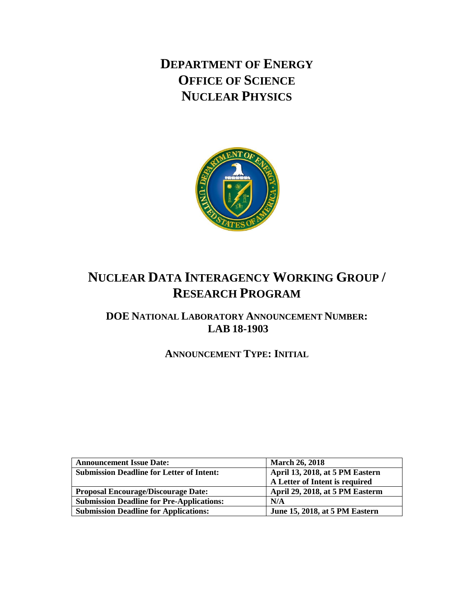**DEPARTMENT OF ENERGY OFFICE OF SCIENCE NUCLEAR PHYSICS**



# **NUCLEAR DATA INTERAGENCY WORKING GROUP / RESEARCH PROGRAM**

**DOE NATIONAL LABORATORY ANNOUNCEMENT NUMBER: LAB 18-1903**

**ANNOUNCEMENT TYPE: INITIAL**

| <b>Announcement Issue Date:</b>                  | <b>March 26, 2018</b>           |  |  |
|--------------------------------------------------|---------------------------------|--|--|
| <b>Submission Deadline for Letter of Intent:</b> | April 13, 2018, at 5 PM Eastern |  |  |
|                                                  | A Letter of Intent is required  |  |  |
| <b>Proposal Encourage/Discourage Date:</b>       | April 29, 2018, at 5 PM Easterm |  |  |
| <b>Submission Deadline for Pre-Applications:</b> | N/A                             |  |  |
| <b>Submission Deadline for Applications:</b>     | June 15, 2018, at 5 PM Eastern  |  |  |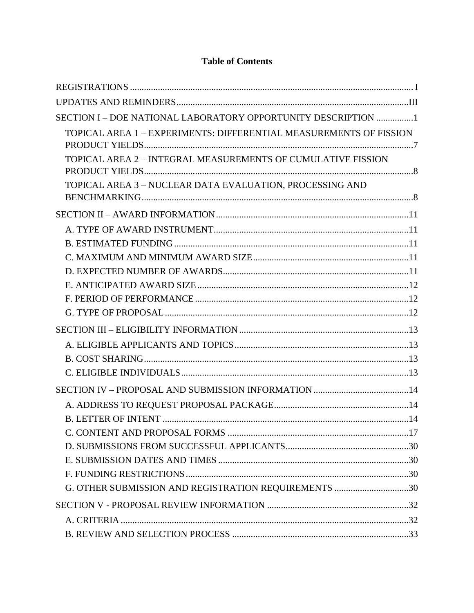| SECTION I - DOE NATIONAL LABORATORY OPPORTUNITY DESCRIPTION 1      |  |
|--------------------------------------------------------------------|--|
| TOPICAL AREA 1 – EXPERIMENTS: DIFFERENTIAL MEASUREMENTS OF FISSION |  |
| TOPICAL AREA 2 - INTEGRAL MEASUREMENTS OF CUMULATIVE FISSION       |  |
|                                                                    |  |
| TOPICAL AREA 3 - NUCLEAR DATA EVALUATION, PROCESSING AND           |  |
|                                                                    |  |
|                                                                    |  |
|                                                                    |  |
|                                                                    |  |
|                                                                    |  |
|                                                                    |  |
|                                                                    |  |
|                                                                    |  |
|                                                                    |  |
|                                                                    |  |
|                                                                    |  |
|                                                                    |  |
|                                                                    |  |
|                                                                    |  |
|                                                                    |  |
|                                                                    |  |
|                                                                    |  |
|                                                                    |  |
|                                                                    |  |
| G. OTHER SUBMISSION AND REGISTRATION REQUIREMENTS 30               |  |
|                                                                    |  |
|                                                                    |  |
|                                                                    |  |

# **Table of Contents**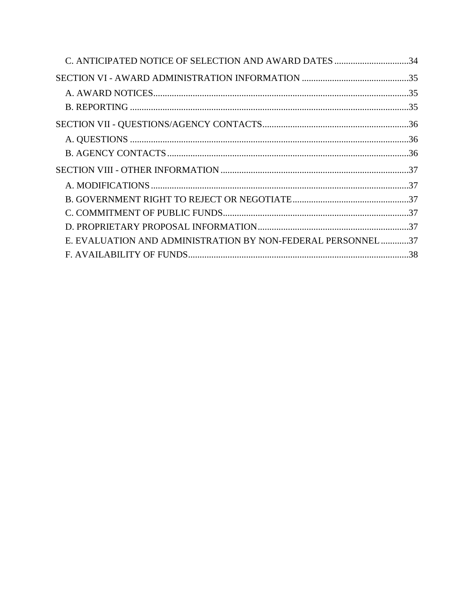| C. ANTICIPATED NOTICE OF SELECTION AND AWARD DATES 34       |  |
|-------------------------------------------------------------|--|
|                                                             |  |
|                                                             |  |
|                                                             |  |
|                                                             |  |
|                                                             |  |
|                                                             |  |
|                                                             |  |
|                                                             |  |
|                                                             |  |
|                                                             |  |
|                                                             |  |
| E. EVALUATION AND ADMINISTRATION BY NON-FEDERAL PERSONNEL37 |  |
|                                                             |  |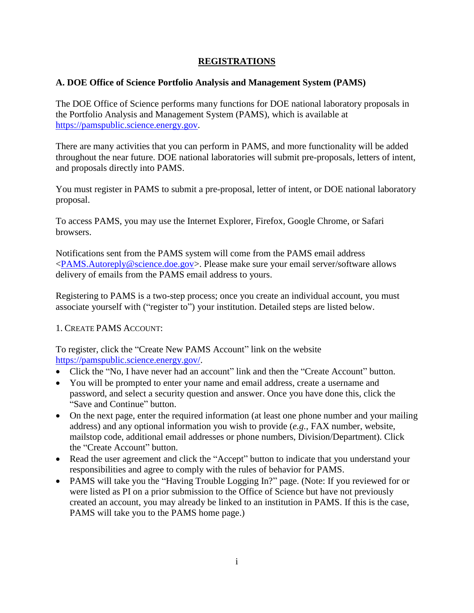# **REGISTRATIONS**

# <span id="page-3-0"></span>**A. DOE Office of Science Portfolio Analysis and Management System (PAMS)**

The DOE Office of Science performs many functions for DOE national laboratory proposals in the Portfolio Analysis and Management System (PAMS), which is available at [https://pamspublic.science.energy.gov.](https://pamspublic.science.energy.gov/)

There are many activities that you can perform in PAMS, and more functionality will be added throughout the near future. DOE national laboratories will submit pre-proposals, letters of intent, and proposals directly into PAMS.

You must register in PAMS to submit a pre-proposal, letter of intent, or DOE national laboratory proposal.

To access PAMS, you may use the Internet Explorer, Firefox, Google Chrome, or Safari browsers.

Notifications sent from the PAMS system will come from the PAMS email address [<PAMS.Autoreply@science.doe.gov>](mailto:PAMS.Autoreply@science.doe.gov). Please make sure your email server/software allows delivery of emails from the PAMS email address to yours.

Registering to PAMS is a two-step process; once you create an individual account, you must associate yourself with ("register to") your institution. Detailed steps are listed below.

1. CREATE PAMS ACCOUNT:

To register, click the "Create New PAMS Account" link on the website [https://pamspublic.science.energy.gov/.](https://pamspublic.science.energy.gov/)

- Click the "No, I have never had an account" link and then the "Create Account" button.
- You will be prompted to enter your name and email address, create a username and password, and select a security question and answer. Once you have done this, click the "Save and Continue" button.
- On the next page, enter the required information (at least one phone number and your mailing address) and any optional information you wish to provide (*e.g.*, FAX number, website, mailstop code, additional email addresses or phone numbers, Division/Department). Click the "Create Account" button.
- Read the user agreement and click the "Accept" button to indicate that you understand your responsibilities and agree to comply with the rules of behavior for PAMS.
- PAMS will take you the "Having Trouble Logging In?" page. (Note: If you reviewed for or were listed as PI on a prior submission to the Office of Science but have not previously created an account, you may already be linked to an institution in PAMS. If this is the case, PAMS will take you to the PAMS home page.)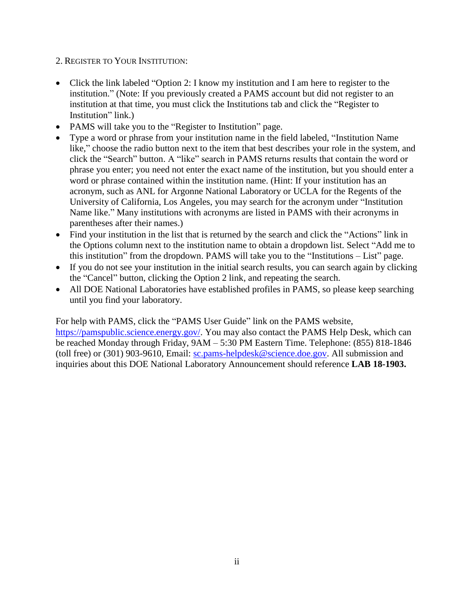- 2. REGISTER TO YOUR INSTITUTION:
- Click the link labeled "Option 2: I know my institution and I am here to register to the institution." (Note: If you previously created a PAMS account but did not register to an institution at that time, you must click the Institutions tab and click the "Register to Institution" link.)
- PAMS will take you to the "Register to Institution" page.
- Type a word or phrase from your institution name in the field labeled, "Institution Name like," choose the radio button next to the item that best describes your role in the system, and click the "Search" button. A "like" search in PAMS returns results that contain the word or phrase you enter; you need not enter the exact name of the institution, but you should enter a word or phrase contained within the institution name. (Hint: If your institution has an acronym, such as ANL for Argonne National Laboratory or UCLA for the Regents of the University of California, Los Angeles, you may search for the acronym under "Institution Name like." Many institutions with acronyms are listed in PAMS with their acronyms in parentheses after their names.)
- Find your institution in the list that is returned by the search and click the "Actions" link in the Options column next to the institution name to obtain a dropdown list. Select "Add me to this institution" from the dropdown. PAMS will take you to the "Institutions – List" page.
- If you do not see your institution in the initial search results, you can search again by clicking the "Cancel" button, clicking the Option 2 link, and repeating the search.
- All DOE National Laboratories have established profiles in PAMS, so please keep searching until you find your laboratory.

For help with PAMS, click the "PAMS User Guide" link on the PAMS website, [https://pamspublic.science.energy.gov/.](https://pamspublic.science.energy.gov/) You may also contact the PAMS Help Desk, which can be reached Monday through Friday, 9AM – 5:30 PM Eastern Time. Telephone: (855) 818-1846 (toll free) or (301) 903-9610, Email: [sc.pams-helpdesk@science.doe.gov.](mailto:sc.pams-helpdesk@science.doe.gov) All submission and inquiries about this DOE National Laboratory Announcement should reference **LAB 18-1903.**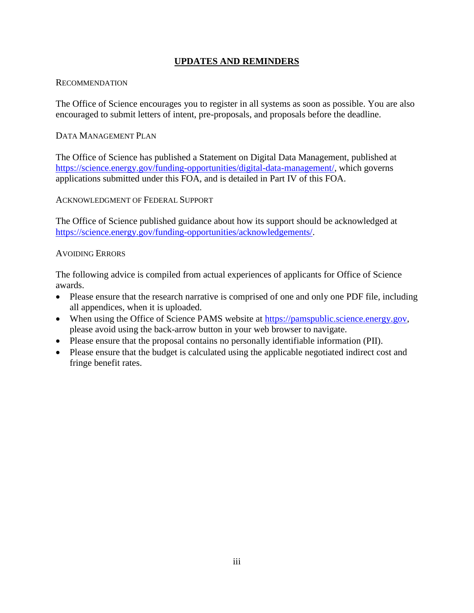# **UPDATES AND REMINDERS**

### <span id="page-5-0"></span>RECOMMENDATION

The Office of Science encourages you to register in all systems as soon as possible. You are also encouraged to submit letters of intent, pre-proposals, and proposals before the deadline.

# DATA MANAGEMENT PLAN

The Office of Science has published a Statement on Digital Data Management, published at [https://science.energy.gov/funding-opportunities/digital-data-management/,](https://science.energy.gov/funding-opportunities/digital-data-management/) which governs applications submitted under this FOA, and is detailed in Part IV of this FOA.

ACKNOWLEDGMENT OF FEDERAL SUPPORT

The Office of Science published guidance about how its support should be acknowledged at [https://science.energy.gov/funding-opportunities/acknowledgements/.](https://science.energy.gov/funding-opportunities/acknowledgements/)

# AVOIDING ERRORS

The following advice is compiled from actual experiences of applicants for Office of Science awards.

- Please ensure that the research narrative is comprised of one and only one PDF file, including all appendices, when it is uploaded.
- When using the Office of Science PAMS website at [https://pamspublic.science.energy.gov,](https://pamspublic.science.energy.gov/) please avoid using the back-arrow button in your web browser to navigate.
- Please ensure that the proposal contains no personally identifiable information (PII).
- Please ensure that the budget is calculated using the applicable negotiated indirect cost and fringe benefit rates.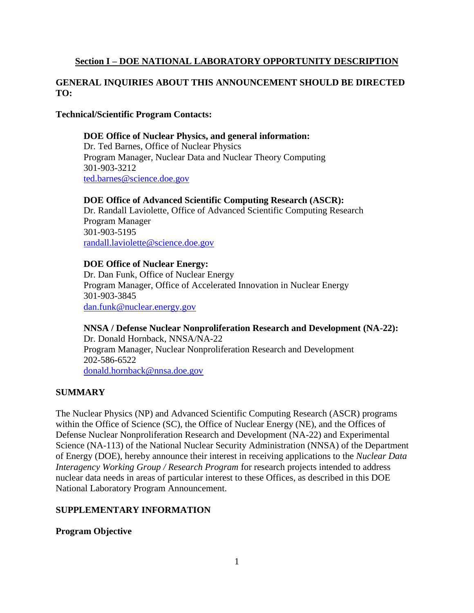# <span id="page-6-0"></span>**Section I – DOE NATIONAL LABORATORY OPPORTUNITY DESCRIPTION**

# **GENERAL INQUIRIES ABOUT THIS ANNOUNCEMENT SHOULD BE DIRECTED TO:**

### **Technical/Scientific Program Contacts:**

### **DOE Office of Nuclear Physics, and general information:** Dr. Ted Barnes, Office of Nuclear Physics Program Manager, Nuclear Data and Nuclear Theory Computing

301-903-3212 [ted.barnes@science.doe.gov](mailto:ted.barnes@science.doe.gov)

### **DOE Office of Advanced Scientific Computing Research (ASCR):**

Dr. Randall Laviolette, Office of Advanced Scientific Computing Research Program Manager 301-903-5195 [randall.laviolette@science.doe.gov](mailto:randall.laviolette@science.doe.gov)

#### **DOE Office of Nuclear Energy:**

Dr. Dan Funk, Office of Nuclear Energy Program Manager, Office of Accelerated Innovation in Nuclear Energy 301-903-3845 [dan.funk@nuclear.energy.gov](mailto:dan.funk@nuclear.energy.gov)

**NNSA / Defense Nuclear Nonproliferation Research and Development (NA-22):** Dr. Donald Hornback, NNSA/NA-22 Program Manager, Nuclear Nonproliferation Research and Development 202-586-6522 [donald.hornback@nnsa.doe.gov](mailto:donald.hornback@nnsa.doe.gov)

### **SUMMARY**

The Nuclear Physics (NP) and Advanced Scientific Computing Research (ASCR) programs within the Office of Science (SC), the Office of Nuclear Energy (NE), and the Offices of Defense Nuclear Nonproliferation Research and Development (NA-22) and Experimental Science (NA-113) of the National Nuclear Security Administration (NNSA) of the Department of Energy (DOE), hereby announce their interest in receiving applications to the *Nuclear Data Interagency Working Group / Research Program* for research projects intended to address nuclear data needs in areas of particular interest to these Offices, as described in this DOE National Laboratory Program Announcement.

### **SUPPLEMENTARY INFORMATION**

### **Program Objective**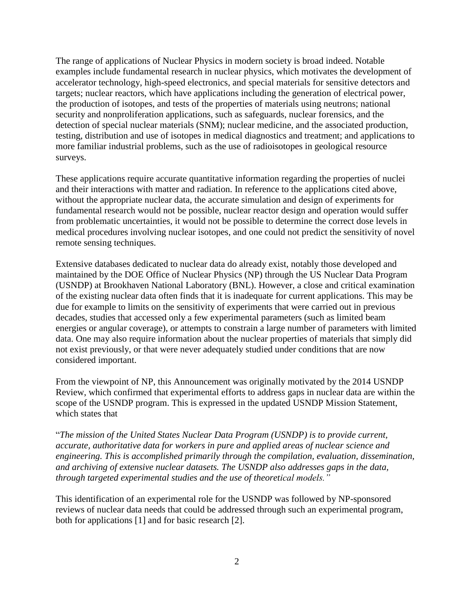The range of applications of Nuclear Physics in modern society is broad indeed. Notable examples include fundamental research in nuclear physics, which motivates the development of accelerator technology, high-speed electronics, and special materials for sensitive detectors and targets; nuclear reactors, which have applications including the generation of electrical power, the production of isotopes, and tests of the properties of materials using neutrons; national security and nonproliferation applications, such as safeguards, nuclear forensics, and the detection of special nuclear materials (SNM); nuclear medicine, and the associated production, testing, distribution and use of isotopes in medical diagnostics and treatment; and applications to more familiar industrial problems, such as the use of radioisotopes in geological resource surveys.

These applications require accurate quantitative information regarding the properties of nuclei and their interactions with matter and radiation. In reference to the applications cited above, without the appropriate nuclear data, the accurate simulation and design of experiments for fundamental research would not be possible, nuclear reactor design and operation would suffer from problematic uncertainties, it would not be possible to determine the correct dose levels in medical procedures involving nuclear isotopes, and one could not predict the sensitivity of novel remote sensing techniques.

Extensive databases dedicated to nuclear data do already exist, notably those developed and maintained by the DOE Office of Nuclear Physics (NP) through the US Nuclear Data Program (USNDP) at Brookhaven National Laboratory (BNL). However, a close and critical examination of the existing nuclear data often finds that it is inadequate for current applications. This may be due for example to limits on the sensitivity of experiments that were carried out in previous decades, studies that accessed only a few experimental parameters (such as limited beam energies or angular coverage), or attempts to constrain a large number of parameters with limited data. One may also require information about the nuclear properties of materials that simply did not exist previously, or that were never adequately studied under conditions that are now considered important.

From the viewpoint of NP, this Announcement was originally motivated by the 2014 USNDP Review, which confirmed that experimental efforts to address gaps in nuclear data are within the scope of the USNDP program. This is expressed in the updated USNDP Mission Statement, which states that

"*The mission of the United States Nuclear Data Program (USNDP) is to provide current, accurate, authoritative data for workers in pure and applied areas of nuclear science and engineering. This is accomplished primarily through the compilation, evaluation, dissemination, and archiving of extensive nuclear datasets. The USNDP also addresses gaps in the data, through targeted experimental studies and the use of theoretical models."*

This identification of an experimental role for the USNDP was followed by NP-sponsored reviews of nuclear data needs that could be addressed through such an experimental program, both for applications [1] and for basic research [2].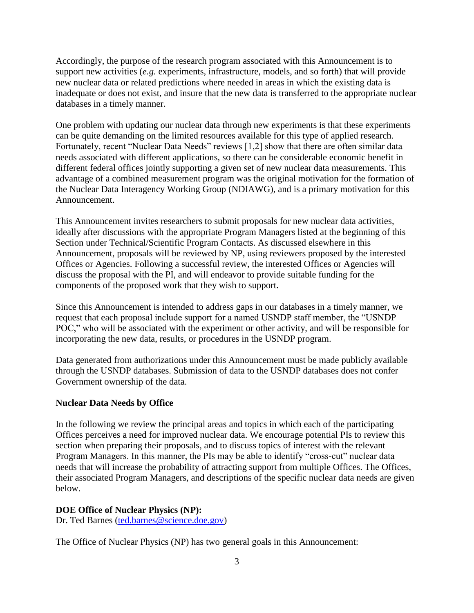Accordingly, the purpose of the research program associated with this Announcement is to support new activities (*e.g.* experiments, infrastructure, models, and so forth) that will provide new nuclear data or related predictions where needed in areas in which the existing data is inadequate or does not exist, and insure that the new data is transferred to the appropriate nuclear databases in a timely manner.

One problem with updating our nuclear data through new experiments is that these experiments can be quite demanding on the limited resources available for this type of applied research. Fortunately, recent "Nuclear Data Needs" reviews [1,2] show that there are often similar data needs associated with different applications, so there can be considerable economic benefit in different federal offices jointly supporting a given set of new nuclear data measurements. This advantage of a combined measurement program was the original motivation for the formation of the Nuclear Data Interagency Working Group (NDIAWG), and is a primary motivation for this Announcement.

This Announcement invites researchers to submit proposals for new nuclear data activities, ideally after discussions with the appropriate Program Managers listed at the beginning of this Section under Technical/Scientific Program Contacts. As discussed elsewhere in this Announcement, proposals will be reviewed by NP, using reviewers proposed by the interested Offices or Agencies. Following a successful review, the interested Offices or Agencies will discuss the proposal with the PI, and will endeavor to provide suitable funding for the components of the proposed work that they wish to support.

Since this Announcement is intended to address gaps in our databases in a timely manner, we request that each proposal include support for a named USNDP staff member, the "USNDP POC," who will be associated with the experiment or other activity, and will be responsible for incorporating the new data, results, or procedures in the USNDP program.

Data generated from authorizations under this Announcement must be made publicly available through the USNDP databases. Submission of data to the USNDP databases does not confer Government ownership of the data.

#### **Nuclear Data Needs by Office**

In the following we review the principal areas and topics in which each of the participating Offices perceives a need for improved nuclear data. We encourage potential PIs to review this section when preparing their proposals, and to discuss topics of interest with the relevant Program Managers. In this manner, the PIs may be able to identify "cross-cut" nuclear data needs that will increase the probability of attracting support from multiple Offices. The Offices, their associated Program Managers, and descriptions of the specific nuclear data needs are given below.

#### **DOE Office of Nuclear Physics (NP):**

Dr. Ted Barnes [\(ted.barnes@science.doe.gov\)](mailto:ted.barnes@science.doe.gov)

The Office of Nuclear Physics (NP) has two general goals in this Announcement: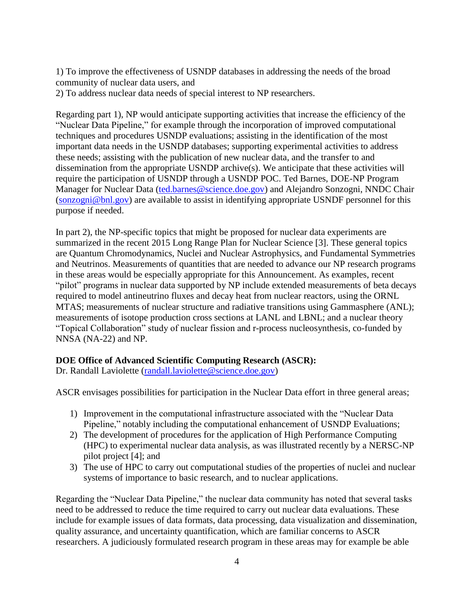1) To improve the effectiveness of USNDP databases in addressing the needs of the broad community of nuclear data users, and

2) To address nuclear data needs of special interest to NP researchers.

Regarding part 1), NP would anticipate supporting activities that increase the efficiency of the "Nuclear Data Pipeline," for example through the incorporation of improved computational techniques and procedures USNDP evaluations; assisting in the identification of the most important data needs in the USNDP databases; supporting experimental activities to address these needs; assisting with the publication of new nuclear data, and the transfer to and dissemination from the appropriate USNDP archive(s). We anticipate that these activities will require the participation of USNDP through a USNDP POC. Ted Barnes, DOE-NP Program Manager for Nuclear Data [\(ted.barnes@science.doe.gov\)](mailto:ted.barnes@science.doe.gov) and Alejandro Sonzogni, NNDC Chair [\(sonzogni@bnl.gov\)](mailto:sonzogni@bnl.gov) are available to assist in identifying appropriate USNDF personnel for this purpose if needed.

In part 2), the NP-specific topics that might be proposed for nuclear data experiments are summarized in the recent 2015 Long Range Plan for Nuclear Science [3]. These general topics are Quantum Chromodynamics, Nuclei and Nuclear Astrophysics, and Fundamental Symmetries and Neutrinos. Measurements of quantities that are needed to advance our NP research programs in these areas would be especially appropriate for this Announcement. As examples, recent "pilot" programs in nuclear data supported by NP include extended measurements of beta decays required to model antineutrino fluxes and decay heat from nuclear reactors, using the ORNL MTAS; measurements of nuclear structure and radiative transitions using Gammasphere (ANL); measurements of isotope production cross sections at LANL and LBNL; and a nuclear theory "Topical Collaboration" study of nuclear fission and r-process nucleosynthesis, co-funded by NNSA (NA-22) and NP.

### **DOE Office of Advanced Scientific Computing Research (ASCR):**

Dr. Randall Laviolette [\(randall.laviolette@science.doe.gov\)](mailto:randall.laviolette@science.doe.gov)

ASCR envisages possibilities for participation in the Nuclear Data effort in three general areas;

- 1) Improvement in the computational infrastructure associated with the "Nuclear Data Pipeline," notably including the computational enhancement of USNDP Evaluations;
- 2) The development of procedures for the application of High Performance Computing (HPC) to experimental nuclear data analysis, as was illustrated recently by a NERSC-NP pilot project [4]; and
- 3) The use of HPC to carry out computational studies of the properties of nuclei and nuclear systems of importance to basic research, and to nuclear applications.

Regarding the "Nuclear Data Pipeline," the nuclear data community has noted that several tasks need to be addressed to reduce the time required to carry out nuclear data evaluations. These include for example issues of data formats, data processing, data visualization and dissemination, quality assurance, and uncertainty quantification, which are familiar concerns to ASCR researchers. A judiciously formulated research program in these areas may for example be able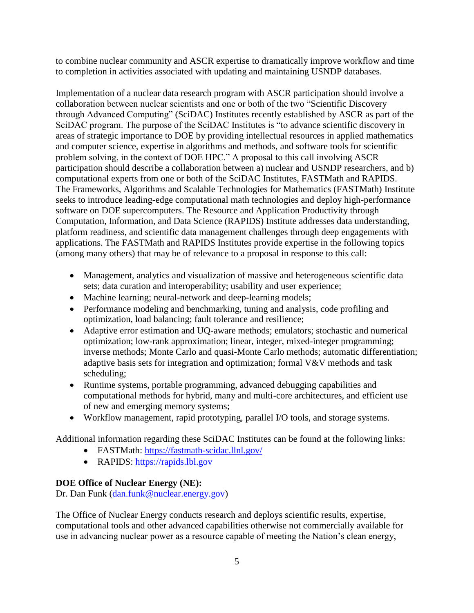to combine nuclear community and ASCR expertise to dramatically improve workflow and time to completion in activities associated with updating and maintaining USNDP databases.

Implementation of a nuclear data research program with ASCR participation should involve a collaboration between nuclear scientists and one or both of the two "Scientific Discovery through Advanced Computing" (SciDAC) Institutes recently established by ASCR as part of the SciDAC program. The purpose of the SciDAC Institutes is "to advance scientific discovery in areas of strategic importance to DOE by providing intellectual resources in applied mathematics and computer science, expertise in algorithms and methods, and software tools for scientific problem solving, in the context of DOE HPC." A proposal to this call involving ASCR participation should describe a collaboration between a) nuclear and USNDP researchers, and b) computational experts from one or both of the SciDAC Institutes, FASTMath and RAPIDS. The Frameworks, Algorithms and Scalable Technologies for Mathematics (FASTMath) Institute seeks to introduce leading-edge computational math technologies and deploy high-performance software on DOE supercomputers. The Resource and Application Productivity through Computation, Information, and Data Science (RAPIDS) Institute addresses data understanding, platform readiness, and scientific data management challenges through deep engagements with applications. The FASTMath and RAPIDS Institutes provide expertise in the following topics (among many others) that may be of relevance to a proposal in response to this call:

- Management, analytics and visualization of massive and heterogeneous scientific data sets; data curation and interoperability; usability and user experience;
- Machine learning; neural-network and deep-learning models;
- Performance modeling and benchmarking, tuning and analysis, code profiling and optimization, load balancing; fault tolerance and resilience;
- Adaptive error estimation and UQ-aware methods; emulators; stochastic and numerical optimization; low-rank approximation; linear, integer, mixed-integer programming; inverse methods; Monte Carlo and quasi-Monte Carlo methods; automatic differentiation; adaptive basis sets for integration and optimization; formal V&V methods and task scheduling;
- Runtime systems, portable programming, advanced debugging capabilities and computational methods for hybrid, many and multi-core architectures, and efficient use of new and emerging memory systems;
- Workflow management, rapid prototyping, parallel I/O tools, and storage systems.

Additional information regarding these SciDAC Institutes can be found at the following links:

- FASTMath:<https://fastmath-scidac.llnl.gov/>
- RAPIDS: [https://rapids.lbl.gov](https://rapids.lbl.gov/)

# **DOE Office of Nuclear Energy (NE):**

Dr. Dan Funk [\(dan.funk@nuclear.energy.gov\)](mailto:dan.funk@nuclear.energy.gov)

The Office of Nuclear Energy conducts research and deploys scientific results, expertise, computational tools and other advanced capabilities otherwise not commercially available for use in advancing nuclear power as a resource capable of meeting the Nation's clean energy,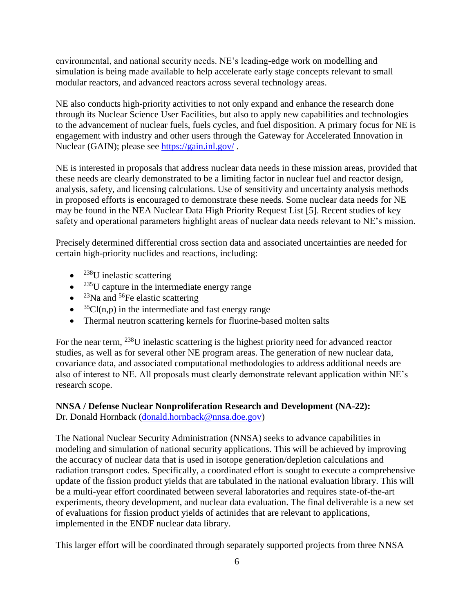environmental, and national security needs. NE's leading-edge work on modelling and simulation is being made available to help accelerate early stage concepts relevant to small modular reactors, and advanced reactors across several technology areas.

NE also conducts high-priority activities to not only expand and enhance the research done through its Nuclear Science User Facilities, but also to apply new capabilities and technologies to the advancement of nuclear fuels, fuels cycles, and fuel disposition. A primary focus for NE is engagement with industry and other users through the Gateway for Accelerated Innovation in Nuclear (GAIN); please see<https://gain.inl.gov/> .

NE is interested in proposals that address nuclear data needs in these mission areas, provided that these needs are clearly demonstrated to be a limiting factor in nuclear fuel and reactor design, analysis, safety, and licensing calculations. Use of sensitivity and uncertainty analysis methods in proposed efforts is encouraged to demonstrate these needs. Some nuclear data needs for NE may be found in the NEA Nuclear Data High Priority Request List [5]. Recent studies of key safety and operational parameters highlight areas of nuclear data needs relevant to NE's mission.

Precisely determined differential cross section data and associated uncertainties are needed for certain high-priority nuclides and reactions, including:

- $\bullet$  <sup>238</sup>U inelastic scattering
- $\bullet$  <sup>235</sup>U capture in the intermediate energy range
- $^{23}$ Na and <sup>56</sup>Fe elastic scattering
- $\bullet$  <sup>35</sup>Cl(n,p) in the intermediate and fast energy range
- Thermal neutron scattering kernels for fluorine-based molten salts

For the near term, <sup>238</sup>U inelastic scattering is the highest priority need for advanced reactor studies, as well as for several other NE program areas. The generation of new nuclear data, covariance data, and associated computational methodologies to address additional needs are also of interest to NE. All proposals must clearly demonstrate relevant application within NE's research scope.

### **NNSA / Defense Nuclear Nonproliferation Research and Development (NA-22):** Dr. Donald Hornback [\(donald.hornback@nnsa.doe.gov\)](mailto:donald.hornback@nnsa.doe.gov)

The National Nuclear Security Administration (NNSA) seeks to advance capabilities in modeling and simulation of national security applications. This will be achieved by improving the accuracy of nuclear data that is used in isotope generation/depletion calculations and radiation transport codes. Specifically, a coordinated effort is sought to execute a comprehensive update of the fission product yields that are tabulated in the national evaluation library. This will be a multi-year effort coordinated between several laboratories and requires state-of-the-art experiments, theory development, and nuclear data evaluation. The final deliverable is a new set of evaluations for fission product yields of actinides that are relevant to applications, implemented in the ENDF nuclear data library.

This larger effort will be coordinated through separately supported projects from three NNSA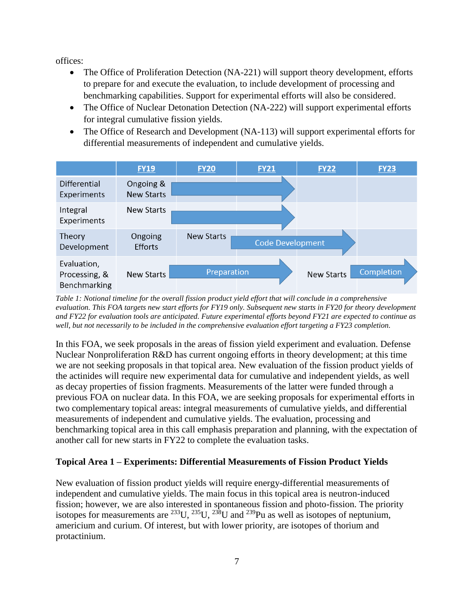offices:

- The Office of Proliferation Detection (NA-221) will support theory development, efforts to prepare for and execute the evaluation, to include development of processing and benchmarking capabilities. Support for experimental efforts will also be considered.
- The Office of Nuclear Detonation Detection (NA-222) will support experimental efforts for integral cumulative fission yields.
- The Office of Research and Development (NA-113) will support experimental efforts for differential measurements of independent and cumulative yields.



*Table 1: Notional timeline for the overall fission product yield effort that will conclude in a comprehensive evaluation. This FOA targets new start efforts for FY19 only. Subsequent new starts in FY20 for theory development and FY22 for evaluation tools are anticipated. Future experimental efforts beyond FY21 are expected to continue as well, but not necessarily to be included in the comprehensive evaluation effort targeting a FY23 completion.*

In this FOA, we seek proposals in the areas of fission yield experiment and evaluation. Defense Nuclear Nonproliferation R&D has current ongoing efforts in theory development; at this time we are not seeking proposals in that topical area. New evaluation of the fission product yields of the actinides will require new experimental data for cumulative and independent yields, as well as decay properties of fission fragments. Measurements of the latter were funded through a previous FOA on nuclear data. In this FOA, we are seeking proposals for experimental efforts in two complementary topical areas: integral measurements of cumulative yields, and differential measurements of independent and cumulative yields. The evaluation, processing and benchmarking topical area in this call emphasis preparation and planning, with the expectation of another call for new starts in FY22 to complete the evaluation tasks.

# <span id="page-12-0"></span>**Topical Area 1 – Experiments: Differential Measurements of Fission Product Yields**

New evaluation of fission product yields will require energy-differential measurements of independent and cumulative yields. The main focus in this topical area is neutron-induced fission; however, we are also interested in spontaneous fission and photo-fission. The priority isotopes for measurements are  $^{233}U$ ,  $^{235}U$ ,  $^{238}U$  and  $^{239}Pu$  as well as isotopes of neptunium, americium and curium. Of interest, but with lower priority, are isotopes of thorium and protactinium.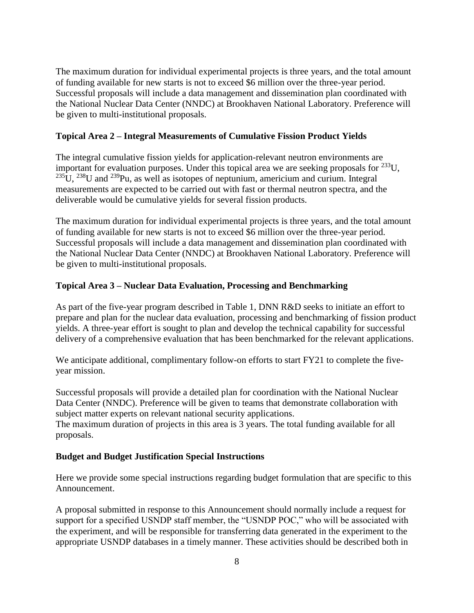The maximum duration for individual experimental projects is three years, and the total amount of funding available for new starts is not to exceed \$6 million over the three-year period. Successful proposals will include a data management and dissemination plan coordinated with the National Nuclear Data Center (NNDC) at Brookhaven National Laboratory. Preference will be given to multi-institutional proposals.

### <span id="page-13-0"></span>**Topical Area 2 – Integral Measurements of Cumulative Fission Product Yields**

The integral cumulative fission yields for application-relevant neutron environments are important for evaluation purposes. Under this topical area we are seeking proposals for  $^{233}$ U,  $^{235}$ U,  $^{238}$ U and  $^{239}$ Pu, as well as isotopes of neptunium, americium and curium. Integral measurements are expected to be carried out with fast or thermal neutron spectra, and the deliverable would be cumulative yields for several fission products.

The maximum duration for individual experimental projects is three years, and the total amount of funding available for new starts is not to exceed \$6 million over the three-year period. Successful proposals will include a data management and dissemination plan coordinated with the National Nuclear Data Center (NNDC) at Brookhaven National Laboratory. Preference will be given to multi-institutional proposals.

### <span id="page-13-1"></span>**Topical Area 3 – Nuclear Data Evaluation, Processing and Benchmarking**

As part of the five-year program described in Table 1, DNN R&D seeks to initiate an effort to prepare and plan for the nuclear data evaluation, processing and benchmarking of fission product yields. A three-year effort is sought to plan and develop the technical capability for successful delivery of a comprehensive evaluation that has been benchmarked for the relevant applications.

We anticipate additional, complimentary follow-on efforts to start FY21 to complete the fiveyear mission.

Successful proposals will provide a detailed plan for coordination with the National Nuclear Data Center (NNDC). Preference will be given to teams that demonstrate collaboration with subject matter experts on relevant national security applications.

The maximum duration of projects in this area is 3 years. The total funding available for all proposals.

### **Budget and Budget Justification Special Instructions**

Here we provide some special instructions regarding budget formulation that are specific to this Announcement.

A proposal submitted in response to this Announcement should normally include a request for support for a specified USNDP staff member, the "USNDP POC," who will be associated with the experiment, and will be responsible for transferring data generated in the experiment to the appropriate USNDP databases in a timely manner. These activities should be described both in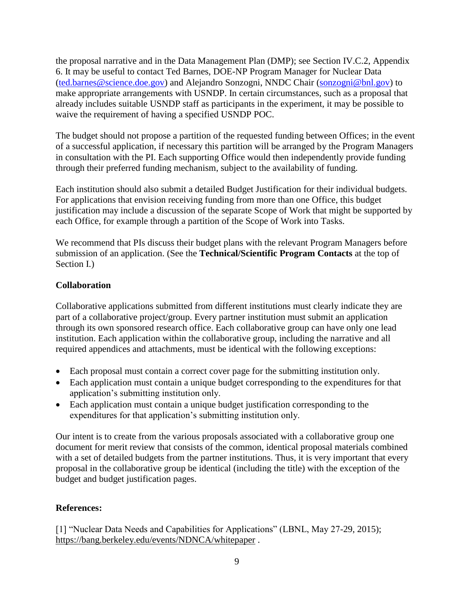the proposal narrative and in the Data Management Plan (DMP); see Section IV.C.2, Appendix 6. It may be useful to contact Ted Barnes, DOE-NP Program Manager for Nuclear Data [\(ted.barnes@science.doe.gov\)](mailto:ted.barnes@science.doe.gov) and Alejandro Sonzogni, NNDC Chair [\(sonzogni@bnl.gov\)](mailto:sonzogni@bnl.gov) to make appropriate arrangements with USNDP. In certain circumstances, such as a proposal that already includes suitable USNDP staff as participants in the experiment, it may be possible to waive the requirement of having a specified USNDP POC.

The budget should not propose a partition of the requested funding between Offices; in the event of a successful application, if necessary this partition will be arranged by the Program Managers in consultation with the PI. Each supporting Office would then independently provide funding through their preferred funding mechanism, subject to the availability of funding.

Each institution should also submit a detailed Budget Justification for their individual budgets. For applications that envision receiving funding from more than one Office, this budget justification may include a discussion of the separate Scope of Work that might be supported by each Office, for example through a partition of the Scope of Work into Tasks.

We recommend that PIs discuss their budget plans with the relevant Program Managers before submission of an application. (See the **Technical/Scientific Program Contacts** at the top of Section I.)

# **Collaboration**

Collaborative applications submitted from different institutions must clearly indicate they are part of a collaborative project/group. Every partner institution must submit an application through its own sponsored research office. Each collaborative group can have only one lead institution. Each application within the collaborative group, including the narrative and all required appendices and attachments, must be identical with the following exceptions:

- Each proposal must contain a correct cover page for the submitting institution only.
- Each application must contain a unique budget corresponding to the expenditures for that application's submitting institution only.
- Each application must contain a unique budget justification corresponding to the expenditures for that application's submitting institution only.

Our intent is to create from the various proposals associated with a collaborative group one document for merit review that consists of the common, identical proposal materials combined with a set of detailed budgets from the partner institutions. Thus, it is very important that every proposal in the collaborative group be identical (including the title) with the exception of the budget and budget justification pages.

# **References:**

[1] "Nuclear Data Needs and Capabilities for Applications" (LBNL, May 27-29, 2015); <https://bang.berkeley.edu/events/NDNCA/whitepaper> .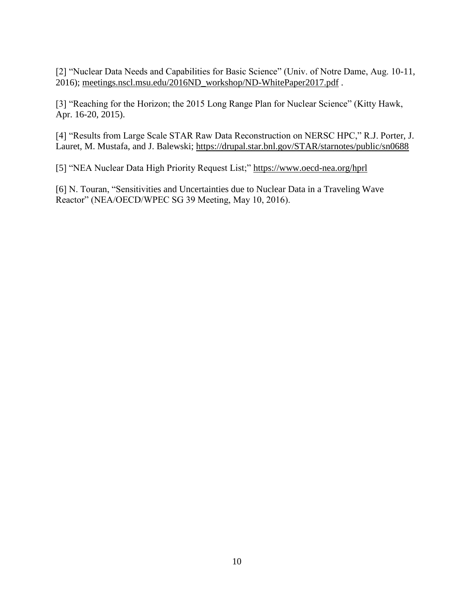[2] "Nuclear Data Needs and Capabilities for Basic Science" (Univ. of Notre Dame, Aug. 10-11, 2016); [meetings.nscl.msu.edu/2016ND\\_workshop/ND-WhitePaper2017.pdf](http://meetings.nscl.msu.edu/2016ND_workshop/ND-WhitePaper2017.pdf) .

[3] "Reaching for the Horizon; the 2015 Long Range Plan for Nuclear Science" (Kitty Hawk, Apr. 16-20, 2015).

[4] "Results from Large Scale STAR Raw Data Reconstruction on NERSC HPC," R.J. Porter, J. Lauret, M. Mustafa, and J. Balewski; https://drupal.star.bnl.gov/STAR/starnotes/public/sn0688

[5] "NEA Nuclear Data High Priority Request List;"<https://www.oecd-nea.org/hprl>

[6] N. Touran, "Sensitivities and Uncertainties due to Nuclear Data in a Traveling Wave Reactor" (NEA/OECD/WPEC SG 39 Meeting, May 10, 2016).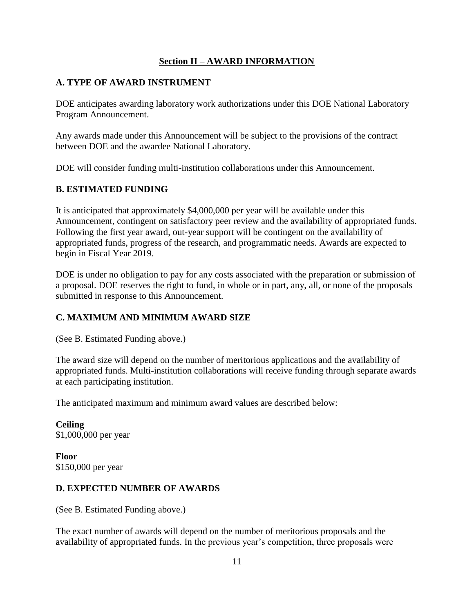# **Section II – AWARD INFORMATION**

# <span id="page-16-1"></span><span id="page-16-0"></span>**A. TYPE OF AWARD INSTRUMENT**

DOE anticipates awarding laboratory work authorizations under this DOE National Laboratory Program Announcement.

Any awards made under this Announcement will be subject to the provisions of the contract between DOE and the awardee National Laboratory.

DOE will consider funding multi-institution collaborations under this Announcement.

# <span id="page-16-2"></span>**B. ESTIMATED FUNDING**

It is anticipated that approximately \$4,000,000 per year will be available under this Announcement, contingent on satisfactory peer review and the availability of appropriated funds. Following the first year award, out-year support will be contingent on the availability of appropriated funds, progress of the research, and programmatic needs. Awards are expected to begin in Fiscal Year 2019.

DOE is under no obligation to pay for any costs associated with the preparation or submission of a proposal. DOE reserves the right to fund, in whole or in part, any, all, or none of the proposals submitted in response to this Announcement.

# <span id="page-16-3"></span>**C. MAXIMUM AND MINIMUM AWARD SIZE**

(See B. Estimated Funding above.)

The award size will depend on the number of meritorious applications and the availability of appropriated funds. Multi-institution collaborations will receive funding through separate awards at each participating institution.

The anticipated maximum and minimum award values are described below:

**Ceiling** \$1,000,000 per year

**Floor** \$150,000 per year

# <span id="page-16-4"></span>**D. EXPECTED NUMBER OF AWARDS**

(See B. Estimated Funding above.)

The exact number of awards will depend on the number of meritorious proposals and the availability of appropriated funds. In the previous year's competition, three proposals were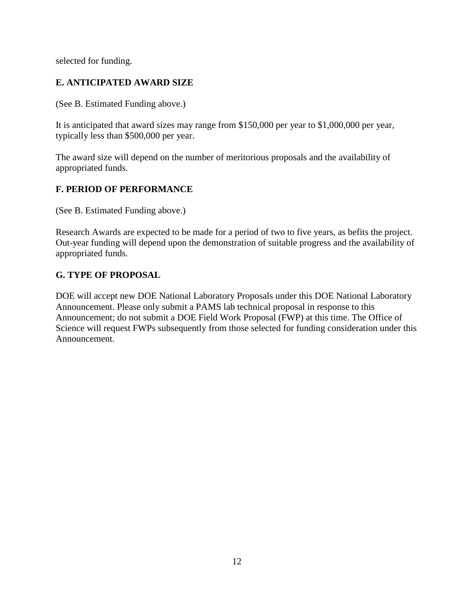selected for funding.

# <span id="page-17-0"></span>**E. ANTICIPATED AWARD SIZE**

(See B. Estimated Funding above.)

It is anticipated that award sizes may range from \$150,000 per year to \$1,000,000 per year, typically less than \$500,000 per year.

The award size will depend on the number of meritorious proposals and the availability of appropriated funds.

# <span id="page-17-1"></span>**F. PERIOD OF PERFORMANCE**

(See B. Estimated Funding above.)

Research Awards are expected to be made for a period of two to five years, as befits the project. Out-year funding will depend upon the demonstration of suitable progress and the availability of appropriated funds.

# <span id="page-17-2"></span>**G. TYPE OF PROPOSAL**

DOE will accept new DOE National Laboratory Proposals under this DOE National Laboratory Announcement. Please only submit a PAMS lab technical proposal in response to this Announcement; do not submit a DOE Field Work Proposal (FWP) at this time. The Office of Science will request FWPs subsequently from those selected for funding consideration under this Announcement.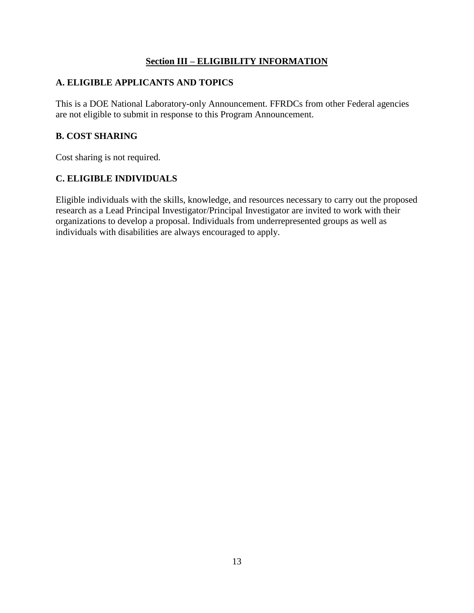# **Section III – ELIGIBILITY INFORMATION**

# <span id="page-18-1"></span><span id="page-18-0"></span>**A. ELIGIBLE APPLICANTS AND TOPICS**

This is a DOE National Laboratory-only Announcement. FFRDCs from other Federal agencies are not eligible to submit in response to this Program Announcement.

# <span id="page-18-2"></span>**B. COST SHARING**

Cost sharing is not required.

# <span id="page-18-3"></span>**C. ELIGIBLE INDIVIDUALS**

Eligible individuals with the skills, knowledge, and resources necessary to carry out the proposed research as a Lead Principal Investigator/Principal Investigator are invited to work with their organizations to develop a proposal. Individuals from underrepresented groups as well as individuals with disabilities are always encouraged to apply.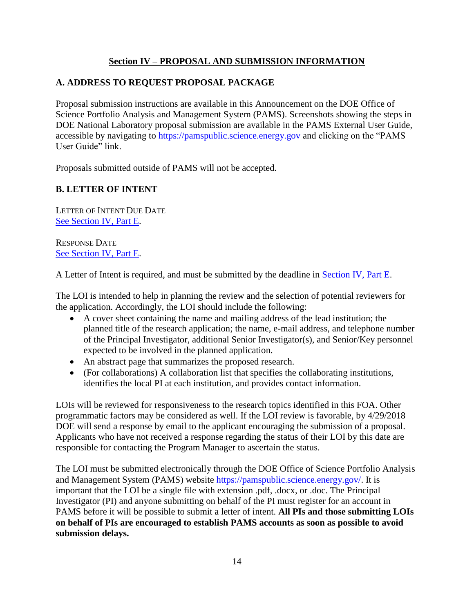# **Section IV – PROPOSAL AND SUBMISSION INFORMATION**

# <span id="page-19-1"></span><span id="page-19-0"></span>**A. ADDRESS TO REQUEST PROPOSAL PACKAGE**

Proposal submission instructions are available in this Announcement on the DOE Office of Science Portfolio Analysis and Management System (PAMS). Screenshots showing the steps in DOE National Laboratory proposal submission are available in the PAMS External User Guide, accessible by navigating to [https://pamspublic.science.energy.gov](https://pamspublic.science.energy.gov/) and clicking on the "PAMS User Guide" link.

Proposals submitted outside of PAMS will not be accepted.

# <span id="page-19-2"></span>**B. LETTER OF INTENT**

LETTER OF INTENT DUE DATE [See Section IV, Part E.](#page-35-4)

RESPONSE DATE [See Section IV, Part E.](#page-35-4)

A Letter of Intent is required, and must be submitted by the deadline in [Section IV, Part E.](#page-35-4)

The LOI is intended to help in planning the review and the selection of potential reviewers for the application. Accordingly, the LOI should include the following:

- A cover sheet containing the name and mailing address of the lead institution; the planned title of the research application; the name, e-mail address, and telephone number of the Principal Investigator, additional Senior Investigator(s), and Senior/Key personnel expected to be involved in the planned application.
- An abstract page that summarizes the proposed research.
- (For collaborations) A collaboration list that specifies the collaborating institutions, identifies the local PI at each institution, and provides contact information.

LOIs will be reviewed for responsiveness to the research topics identified in this FOA. Other programmatic factors may be considered as well. If the LOI review is favorable, by 4/29/2018 DOE will send a response by email to the applicant encouraging the submission of a proposal. Applicants who have not received a response regarding the status of their LOI by this date are responsible for contacting the Program Manager to ascertain the status.

The LOI must be submitted electronically through the DOE Office of Science Portfolio Analysis and Management System (PAMS) website [https://pamspublic.science.energy.gov/.](https://pamspublic.science.energy.gov/) It is important that the LOI be a single file with extension .pdf, .docx, or .doc. The Principal Investigator (PI) and anyone submitting on behalf of the PI must register for an account in PAMS before it will be possible to submit a letter of intent. **All PIs and those submitting LOIs on behalf of PIs are encouraged to establish PAMS accounts as soon as possible to avoid submission delays.**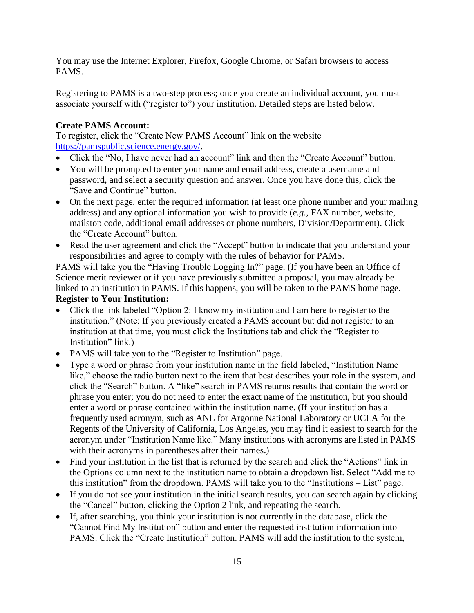You may use the Internet Explorer, Firefox, Google Chrome, or Safari browsers to access PAMS.

Registering to PAMS is a two-step process; once you create an individual account, you must associate yourself with ("register to") your institution. Detailed steps are listed below.

# **Create PAMS Account:**

To register, click the "Create New PAMS Account" link on the website [https://pamspublic.science.energy.gov/.](https://pamspublic.science.energy.gov/)

- Click the "No, I have never had an account" link and then the "Create Account" button.
- You will be prompted to enter your name and email address, create a username and password, and select a security question and answer. Once you have done this, click the "Save and Continue" button.
- On the next page, enter the required information (at least one phone number and your mailing address) and any optional information you wish to provide (*e.g.*, FAX number, website, mailstop code, additional email addresses or phone numbers, Division/Department). Click the "Create Account" button.
- Read the user agreement and click the "Accept" button to indicate that you understand your responsibilities and agree to comply with the rules of behavior for PAMS.

PAMS will take you the "Having Trouble Logging In?" page. (If you have been an Office of Science merit reviewer or if you have previously submitted a proposal, you may already be linked to an institution in PAMS. If this happens, you will be taken to the PAMS home page.

# **Register to Your Institution:**

- Click the link labeled "Option 2: I know my institution and I am here to register to the institution." (Note: If you previously created a PAMS account but did not register to an institution at that time, you must click the Institutions tab and click the "Register to Institution" link.)
- PAMS will take you to the "Register to Institution" page.
- Type a word or phrase from your institution name in the field labeled, "Institution Name like," choose the radio button next to the item that best describes your role in the system, and click the "Search" button. A "like" search in PAMS returns results that contain the word or phrase you enter; you do not need to enter the exact name of the institution, but you should enter a word or phrase contained within the institution name. (If your institution has a frequently used acronym, such as ANL for Argonne National Laboratory or UCLA for the Regents of the University of California, Los Angeles, you may find it easiest to search for the acronym under "Institution Name like." Many institutions with acronyms are listed in PAMS with their acronyms in parentheses after their names.)
- Find your institution in the list that is returned by the search and click the "Actions" link in the Options column next to the institution name to obtain a dropdown list. Select "Add me to this institution" from the dropdown. PAMS will take you to the "Institutions – List" page.
- If you do not see your institution in the initial search results, you can search again by clicking the "Cancel" button, clicking the Option 2 link, and repeating the search.
- If, after searching, you think your institution is not currently in the database, click the "Cannot Find My Institution" button and enter the requested institution information into PAMS. Click the "Create Institution" button. PAMS will add the institution to the system,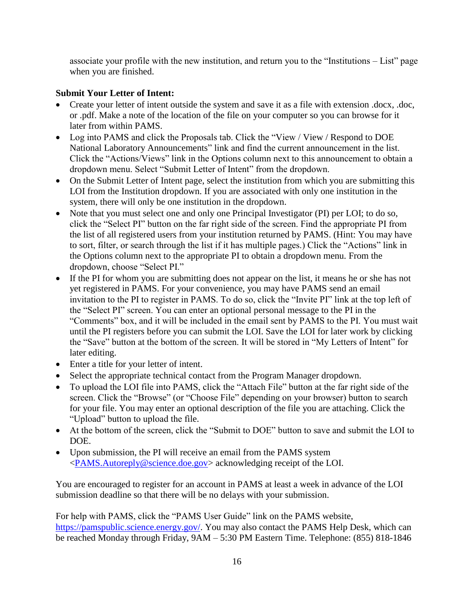associate your profile with the new institution, and return you to the "Institutions – List" page when you are finished.

# **Submit Your Letter of Intent:**

- Create your letter of intent outside the system and save it as a file with extension .docx, .doc, or .pdf. Make a note of the location of the file on your computer so you can browse for it later from within PAMS.
- Log into PAMS and click the Proposals tab. Click the "View / View / Respond to DOE National Laboratory Announcements" link and find the current announcement in the list. Click the "Actions/Views" link in the Options column next to this announcement to obtain a dropdown menu. Select "Submit Letter of Intent" from the dropdown.
- On the Submit Letter of Intent page, select the institution from which you are submitting this LOI from the Institution dropdown. If you are associated with only one institution in the system, there will only be one institution in the dropdown.
- Note that you must select one and only one Principal Investigator (PI) per LOI; to do so, click the "Select PI" button on the far right side of the screen. Find the appropriate PI from the list of all registered users from your institution returned by PAMS. (Hint: You may have to sort, filter, or search through the list if it has multiple pages.) Click the "Actions" link in the Options column next to the appropriate PI to obtain a dropdown menu. From the dropdown, choose "Select PI."
- If the PI for whom you are submitting does not appear on the list, it means he or she has not yet registered in PAMS. For your convenience, you may have PAMS send an email invitation to the PI to register in PAMS. To do so, click the "Invite PI" link at the top left of the "Select PI" screen. You can enter an optional personal message to the PI in the "Comments" box, and it will be included in the email sent by PAMS to the PI. You must wait until the PI registers before you can submit the LOI. Save the LOI for later work by clicking the "Save" button at the bottom of the screen. It will be stored in "My Letters of Intent" for later editing.
- Enter a title for your letter of intent.
- Select the appropriate technical contact from the Program Manager dropdown.
- To upload the LOI file into PAMS, click the "Attach File" button at the far right side of the screen. Click the "Browse" (or "Choose File" depending on your browser) button to search for your file. You may enter an optional description of the file you are attaching. Click the "Upload" button to upload the file.
- At the bottom of the screen, click the "Submit to DOE" button to save and submit the LOI to DOE.
- Upon submission, the PI will receive an email from the PAMS system [<PAMS.Autoreply@science.doe.gov>](mailto:PAMS.Autoreply@science.doe.gov) acknowledging receipt of the LOI.

You are encouraged to register for an account in PAMS at least a week in advance of the LOI submission deadline so that there will be no delays with your submission.

For help with PAMS, click the "PAMS User Guide" link on the PAMS website, [https://pamspublic.science.energy.gov/.](https://pamspublic.science.energy.gov/) You may also contact the PAMS Help Desk, which can be reached Monday through Friday,  $9AM - 5:30 PM$  Eastern Time. Telephone: (855) 818-1846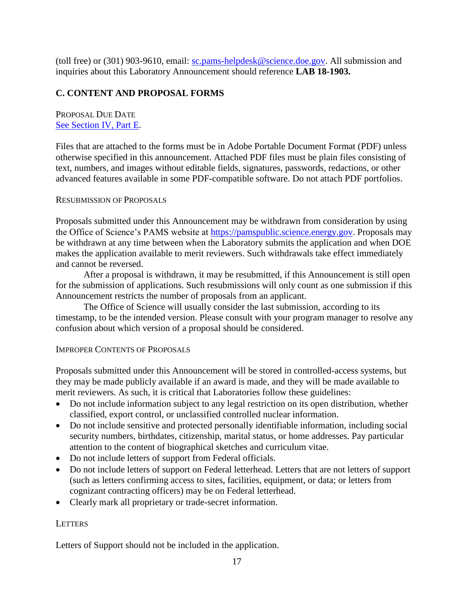(toll free) or (301) 903-9610, email: [sc.pams-helpdesk@science.doe.gov.](mailto:sc.pams-helpdesk@science.doe.gov) All submission and inquiries about this Laboratory Announcement should reference **LAB 18-1903.**

# <span id="page-22-0"></span>**C. CONTENT AND PROPOSAL FORMS**

PROPOSAL DUE DATE [See Section IV, Part E.](#page-35-5)

Files that are attached to the forms must be in Adobe Portable Document Format (PDF) unless otherwise specified in this announcement. Attached PDF files must be plain files consisting of text, numbers, and images without editable fields, signatures, passwords, redactions, or other advanced features available in some PDF-compatible software. Do not attach PDF portfolios.

#### RESUBMISSION OF PROPOSALS

Proposals submitted under this Announcement may be withdrawn from consideration by using the Office of Science's PAMS website at [https://pamspublic.science.energy.gov.](https://pamspublic.science.energy.gov/) Proposals may be withdrawn at any time between when the Laboratory submits the application and when DOE makes the application available to merit reviewers. Such withdrawals take effect immediately and cannot be reversed.

After a proposal is withdrawn, it may be resubmitted, if this Announcement is still open for the submission of applications. Such resubmissions will only count as one submission if this Announcement restricts the number of proposals from an applicant.

The Office of Science will usually consider the last submission, according to its timestamp, to be the intended version. Please consult with your program manager to resolve any confusion about which version of a proposal should be considered.

#### IMPROPER CONTENTS OF PROPOSALS

Proposals submitted under this Announcement will be stored in controlled-access systems, but they may be made publicly available if an award is made, and they will be made available to merit reviewers. As such, it is critical that Laboratories follow these guidelines:

- Do not include information subject to any legal restriction on its open distribution, whether classified, export control, or unclassified controlled nuclear information.
- Do not include sensitive and protected personally identifiable information, including social security numbers, birthdates, citizenship, marital status, or home addresses. Pay particular attention to the content of biographical sketches and curriculum vitae.
- Do not include letters of support from Federal officials.
- Do not include letters of support on Federal letterhead. Letters that are not letters of support (such as letters confirming access to sites, facilities, equipment, or data; or letters from cognizant contracting officers) may be on Federal letterhead.
- Clearly mark all proprietary or trade-secret information.

### **LETTERS**

Letters of Support should not be included in the application.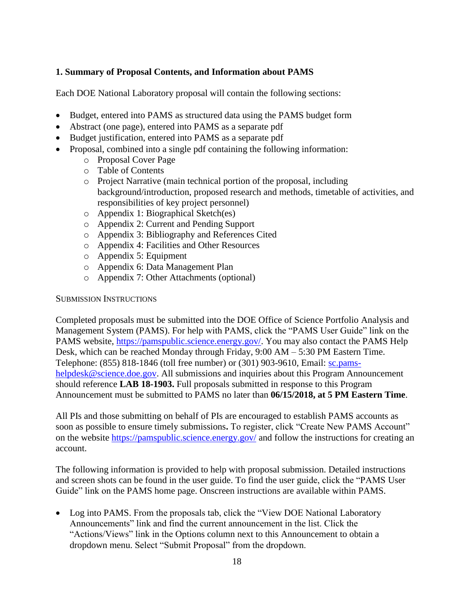# **1. Summary of Proposal Contents, and Information about PAMS**

Each DOE National Laboratory proposal will contain the following sections:

- Budget, entered into PAMS as structured data using the PAMS budget form
- Abstract (one page), entered into PAMS as a separate pdf
- Budget justification, entered into PAMS as a separate pdf
- Proposal, combined into a single pdf containing the following information:
	- o Proposal Cover Page
	- o Table of Contents
	- o Project Narrative (main technical portion of the proposal, including background/introduction, proposed research and methods, timetable of activities, and responsibilities of key project personnel)
	- o Appendix 1: Biographical Sketch(es)
	- o Appendix 2: Current and Pending Support
	- o Appendix 3: Bibliography and References Cited
	- o Appendix 4: Facilities and Other Resources
	- o Appendix 5: Equipment
	- o Appendix 6: Data Management Plan
	- o Appendix 7: Other Attachments (optional)

SUBMISSION INSTRUCTIONS

Completed proposals must be submitted into the DOE Office of Science Portfolio Analysis and Management System (PAMS). For help with PAMS, click the "PAMS User Guide" link on the PAMS website, [https://pamspublic.science.energy.gov/.](https://pamspublic.science.energy.gov/) You may also contact the PAMS Help Desk, which can be reached Monday through Friday, 9:00 AM – 5:30 PM Eastern Time. Telephone: (855) 818-1846 (toll free number) or (301) 903-9610, Email: [sc.pams](mailto:sc.pams-helpdesk@science.doe.gov)[helpdesk@science.doe.gov.](mailto:sc.pams-helpdesk@science.doe.gov) All submissions and inquiries about this Program Announcement should reference **LAB 18-1903.** Full proposals submitted in response to this Program Announcement must be submitted to PAMS no later than **06/15/2018, at 5 PM Eastern Time**.

All PIs and those submitting on behalf of PIs are encouraged to establish PAMS accounts as soon as possible to ensure timely submissions**.** To register, click "Create New PAMS Account" on the website<https://pamspublic.science.energy.gov/> and follow the instructions for creating an account.

The following information is provided to help with proposal submission. Detailed instructions and screen shots can be found in the user guide. To find the user guide, click the "PAMS User Guide" link on the PAMS home page. Onscreen instructions are available within PAMS.

• Log into PAMS. From the proposals tab, click the "View DOE National Laboratory" Announcements" link and find the current announcement in the list. Click the "Actions/Views" link in the Options column next to this Announcement to obtain a dropdown menu. Select "Submit Proposal" from the dropdown.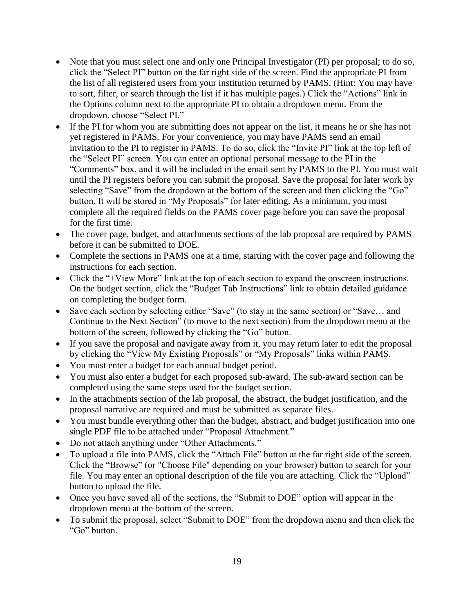- Note that you must select one and only one Principal Investigator (PI) per proposal; to do so, click the "Select PI" button on the far right side of the screen. Find the appropriate PI from the list of all registered users from your institution returned by PAMS. (Hint: You may have to sort, filter, or search through the list if it has multiple pages.) Click the "Actions" link in the Options column next to the appropriate PI to obtain a dropdown menu. From the dropdown, choose "Select PI."
- If the PI for whom you are submitting does not appear on the list, it means he or she has not yet registered in PAMS. For your convenience, you may have PAMS send an email invitation to the PI to register in PAMS. To do so, click the "Invite PI" link at the top left of the "Select PI" screen. You can enter an optional personal message to the PI in the "Comments" box, and it will be included in the email sent by PAMS to the PI. You must wait until the PI registers before you can submit the proposal. Save the proposal for later work by selecting "Save" from the dropdown at the bottom of the screen and then clicking the "Go" button. It will be stored in "My Proposals" for later editing. As a minimum, you must complete all the required fields on the PAMS cover page before you can save the proposal for the first time.
- The cover page, budget, and attachments sections of the lab proposal are required by PAMS before it can be submitted to DOE.
- Complete the sections in PAMS one at a time, starting with the cover page and following the instructions for each section.
- Click the "+View More" link at the top of each section to expand the onscreen instructions. On the budget section, click the "Budget Tab Instructions" link to obtain detailed guidance on completing the budget form.
- Save each section by selecting either "Save" (to stay in the same section) or "Save… and Continue to the Next Section" (to move to the next section) from the dropdown menu at the bottom of the screen, followed by clicking the "Go" button.
- If you save the proposal and navigate away from it, you may return later to edit the proposal by clicking the "View My Existing Proposals" or "My Proposals" links within PAMS.
- You must enter a budget for each annual budget period.
- You must also enter a budget for each proposed sub-award. The sub-award section can be completed using the same steps used for the budget section.
- In the attachments section of the lab proposal, the abstract, the budget justification, and the proposal narrative are required and must be submitted as separate files.
- You must bundle everything other than the budget, abstract, and budget justification into one single PDF file to be attached under "Proposal Attachment."
- Do not attach anything under "Other Attachments."
- To upload a file into PAMS, click the "Attach File" button at the far right side of the screen. Click the "Browse" (or "Choose File" depending on your browser) button to search for your file. You may enter an optional description of the file you are attaching. Click the "Upload" button to upload the file.
- Once you have saved all of the sections, the "Submit to DOE" option will appear in the dropdown menu at the bottom of the screen.
- To submit the proposal, select "Submit to DOE" from the dropdown menu and then click the "Go" button.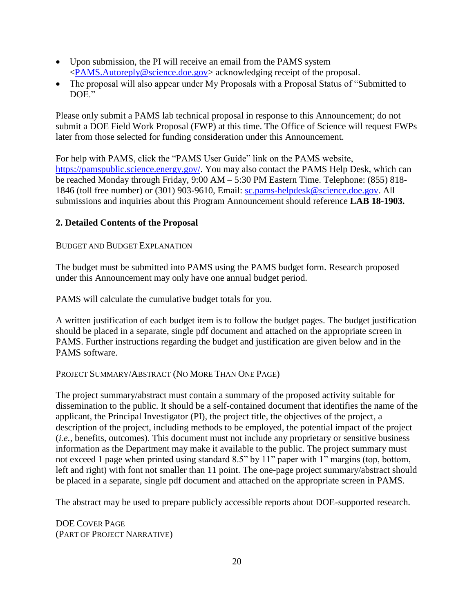- Upon submission, the PI will receive an email from the PAMS system [<PAMS.Autoreply@science.doe.gov>](file://///scnas5p.sc.science.doe.gov/blevili/My%20Documents/_Daily%20Business/_SC-2/_Early%20Career%20Research%20Program/FY2014/Solicitations/PAMS.Autoreply@science.doe.gov) acknowledging receipt of the proposal.
- The proposal will also appear under My Proposals with a Proposal Status of "Submitted to DOE"

Please only submit a PAMS lab technical proposal in response to this Announcement; do not submit a DOE Field Work Proposal (FWP) at this time. The Office of Science will request FWPs later from those selected for funding consideration under this Announcement.

For help with PAMS, click the "PAMS User Guide" link on the PAMS website, [https://pamspublic.science.energy.gov/.](https://pamspublic.science.energy.gov/) You may also contact the PAMS Help Desk, which can be reached Monday through Friday, 9:00 AM – 5:30 PM Eastern Time. Telephone: (855) 818- 1846 (toll free number) or (301) 903-9610, Email: [sc.pams-helpdesk@science.doe.gov.](mailto:sc.pams-helpdesk@science.doe.gov) All submissions and inquiries about this Program Announcement should reference **LAB 18-1903.**

# **2. Detailed Contents of the Proposal**

#### BUDGET AND BUDGET EXPLANATION

The budget must be submitted into PAMS using the PAMS budget form. Research proposed under this Announcement may only have one annual budget period.

PAMS will calculate the cumulative budget totals for you.

A written justification of each budget item is to follow the budget pages. The budget justification should be placed in a separate, single pdf document and attached on the appropriate screen in PAMS. Further instructions regarding the budget and justification are given below and in the PAMS software.

#### PROJECT SUMMARY/ABSTRACT (NO MORE THAN ONE PAGE)

The project summary/abstract must contain a summary of the proposed activity suitable for dissemination to the public. It should be a self-contained document that identifies the name of the applicant, the Principal Investigator (PI), the project title, the objectives of the project, a description of the project, including methods to be employed, the potential impact of the project (*i.e.*, benefits, outcomes). This document must not include any proprietary or sensitive business information as the Department may make it available to the public. The project summary must not exceed 1 page when printed using standard 8.5" by 11" paper with 1" margins (top, bottom, left and right) with font not smaller than 11 point. The one-page project summary/abstract should be placed in a separate, single pdf document and attached on the appropriate screen in PAMS.

The abstract may be used to prepare publicly accessible reports about DOE-supported research.

DOE COVER PAGE (PART OF PROJECT NARRATIVE)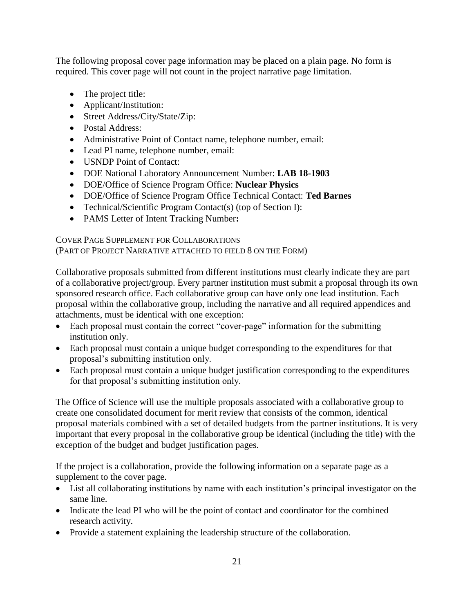The following proposal cover page information may be placed on a plain page. No form is required. This cover page will not count in the project narrative page limitation.

- The project title:
- Applicant/Institution:
- Street Address/City/State/Zip:
- Postal Address:
- Administrative Point of Contact name, telephone number, email:
- Lead PI name, telephone number, email:
- USNDP Point of Contact:
- DOE National Laboratory Announcement Number: **LAB 18-1903**
- DOE/Office of Science Program Office: **Nuclear Physics**
- DOE/Office of Science Program Office Technical Contact: **Ted Barnes**
- Technical/Scientific Program Contact(s) (top of Section I):
- PAMS Letter of Intent Tracking Number**:**

COVER PAGE SUPPLEMENT FOR COLLABORATIONS (PART OF PROJECT NARRATIVE ATTACHED TO FIELD 8 ON THE FORM)

Collaborative proposals submitted from different institutions must clearly indicate they are part of a collaborative project/group. Every partner institution must submit a proposal through its own sponsored research office. Each collaborative group can have only one lead institution. Each proposal within the collaborative group, including the narrative and all required appendices and attachments, must be identical with one exception:

- Each proposal must contain the correct "cover-page" information for the submitting institution only.
- Each proposal must contain a unique budget corresponding to the expenditures for that proposal's submitting institution only.
- Each proposal must contain a unique budget justification corresponding to the expenditures for that proposal's submitting institution only.

The Office of Science will use the multiple proposals associated with a collaborative group to create one consolidated document for merit review that consists of the common, identical proposal materials combined with a set of detailed budgets from the partner institutions. It is very important that every proposal in the collaborative group be identical (including the title) with the exception of the budget and budget justification pages.

If the project is a collaboration, provide the following information on a separate page as a supplement to the cover page.

- List all collaborating institutions by name with each institution's principal investigator on the same line.
- Indicate the lead PI who will be the point of contact and coordinator for the combined research activity.
- Provide a statement explaining the leadership structure of the collaboration.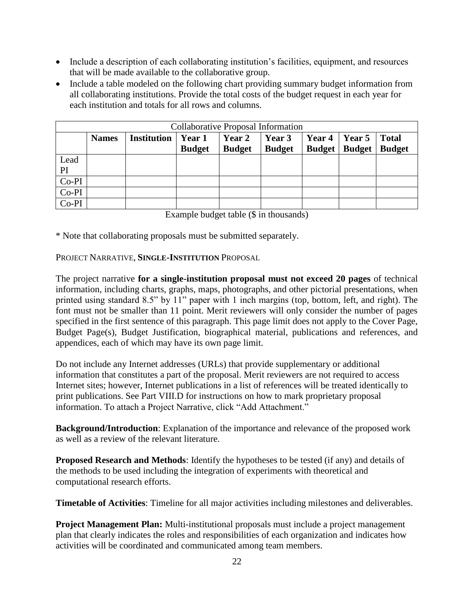- Include a description of each collaborating institution's facilities, equipment, and resources that will be made available to the collaborative group.
- Include a table modeled on the following chart providing summary budget information from all collaborating institutions. Provide the total costs of the budget request in each year for each institution and totals for all rows and columns.

| <b>Collaborative Proposal Information</b> |              |                    |                |               |                   |                      |                        |               |
|-------------------------------------------|--------------|--------------------|----------------|---------------|-------------------|----------------------|------------------------|---------------|
|                                           | <b>Names</b> | <b>Institution</b> | $\vert$ Year 1 | Year 2        | $\sqrt{2}$ Year 3 | Year $4 \mid$ Year 5 |                        | <b>Total</b>  |
|                                           |              |                    | <b>Budget</b>  | <b>Budget</b> | <b>Budget</b>     |                      | <b>Budget   Budget</b> | <b>Budget</b> |
| Lead                                      |              |                    |                |               |                   |                      |                        |               |
| PI                                        |              |                    |                |               |                   |                      |                        |               |
| $Co-PI$                                   |              |                    |                |               |                   |                      |                        |               |
| $Co-PI$                                   |              |                    |                |               |                   |                      |                        |               |
| $Co-PI$                                   |              |                    |                |               |                   |                      |                        |               |

Example budget table (\$ in thousands)

\* Note that collaborating proposals must be submitted separately.

PROJECT NARRATIVE, **SINGLE-INSTITUTION** PROPOSAL

The project narrative **for a single-institution proposal must not exceed 20 pages** of technical information, including charts, graphs, maps, photographs, and other pictorial presentations, when printed using standard 8.5" by 11" paper with 1 inch margins (top, bottom, left, and right). The font must not be smaller than 11 point. Merit reviewers will only consider the number of pages specified in the first sentence of this paragraph. This page limit does not apply to the Cover Page, Budget Page(s), Budget Justification, biographical material, publications and references, and appendices, each of which may have its own page limit.

Do not include any Internet addresses (URLs) that provide supplementary or additional information that constitutes a part of the proposal. Merit reviewers are not required to access Internet sites; however, Internet publications in a list of references will be treated identically to print publications. See Part VIII.D for instructions on how to mark proprietary proposal information. To attach a Project Narrative, click "Add Attachment."

**Background/Introduction**: Explanation of the importance and relevance of the proposed work as well as a review of the relevant literature.

**Proposed Research and Methods**: Identify the hypotheses to be tested (if any) and details of the methods to be used including the integration of experiments with theoretical and computational research efforts.

**Timetable of Activities**: Timeline for all major activities including milestones and deliverables.

**Project Management Plan:** Multi-institutional proposals must include a project management plan that clearly indicates the roles and responsibilities of each organization and indicates how activities will be coordinated and communicated among team members.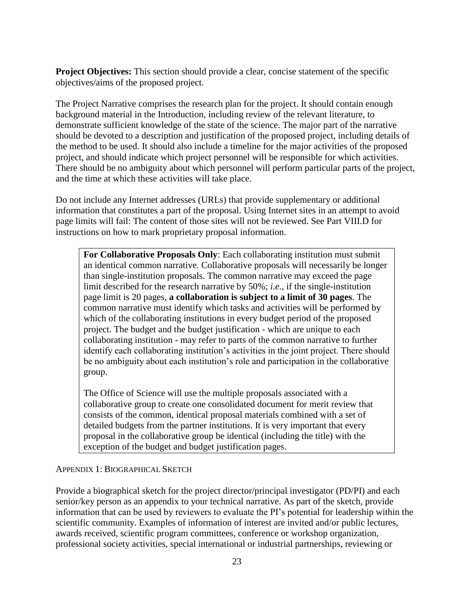**Project Objectives:** This section should provide a clear, concise statement of the specific objectives/aims of the proposed project.

The Project Narrative comprises the research plan for the project. It should contain enough background material in the Introduction, including review of the relevant literature, to demonstrate sufficient knowledge of the state of the science. The major part of the narrative should be devoted to a description and justification of the proposed project, including details of the method to be used. It should also include a timeline for the major activities of the proposed project, and should indicate which project personnel will be responsible for which activities. There should be no ambiguity about which personnel will perform particular parts of the project, and the time at which these activities will take place.

Do not include any Internet addresses (URLs) that provide supplementary or additional information that constitutes a part of the proposal. Using Internet sites in an attempt to avoid page limits will fail: The content of those sites will not be reviewed. See Part VIII.D for instructions on how to mark proprietary proposal information.

**For Collaborative Proposals Only**: Each collaborating institution must submit an identical common narrative. Collaborative proposals will necessarily be longer than single-institution proposals. The common narrative may exceed the page limit described for the research narrative by 50%; *i.e.*, if the single-institution page limit is 20 pages, **a collaboration is subject to a limit of 30 pages**. The common narrative must identify which tasks and activities will be performed by which of the collaborating institutions in every budget period of the proposed project. The budget and the budget justification - which are unique to each collaborating institution - may refer to parts of the common narrative to further identify each collaborating institution's activities in the joint project. There should be no ambiguity about each institution's role and participation in the collaborative group.

The Office of Science will use the multiple proposals associated with a collaborative group to create one consolidated document for merit review that consists of the common, identical proposal materials combined with a set of detailed budgets from the partner institutions. It is very important that every proposal in the collaborative group be identical (including the title) with the exception of the budget and budget justification pages.

#### APPENDIX 1: BIOGRAPHICAL SKETCH

Provide a biographical sketch for the project director/principal investigator (PD/PI) and each senior/key person as an appendix to your technical narrative. As part of the sketch, provide information that can be used by reviewers to evaluate the PI's potential for leadership within the scientific community. Examples of information of interest are invited and/or public lectures, awards received, scientific program committees, conference or workshop organization, professional society activities, special international or industrial partnerships, reviewing or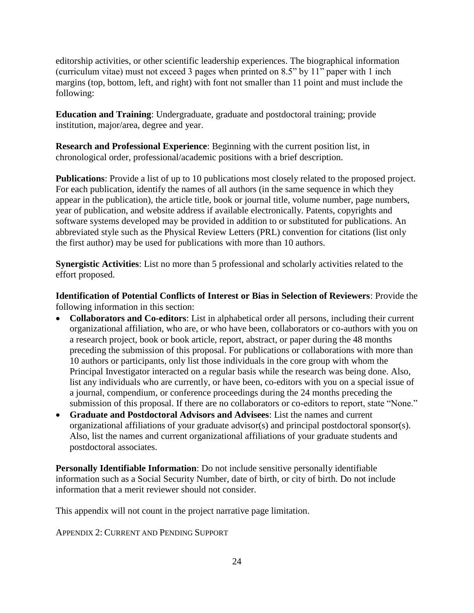editorship activities, or other scientific leadership experiences. The biographical information (curriculum vitae) must not exceed 3 pages when printed on 8.5" by 11" paper with 1 inch margins (top, bottom, left, and right) with font not smaller than 11 point and must include the following:

**Education and Training**: Undergraduate, graduate and postdoctoral training; provide institution, major/area, degree and year.

**Research and Professional Experience**: Beginning with the current position list, in chronological order, professional/academic positions with a brief description.

**Publications**: Provide a list of up to 10 publications most closely related to the proposed project. For each publication, identify the names of all authors (in the same sequence in which they appear in the publication), the article title, book or journal title, volume number, page numbers, year of publication, and website address if available electronically. Patents, copyrights and software systems developed may be provided in addition to or substituted for publications. An abbreviated style such as the Physical Review Letters (PRL) convention for citations (list only the first author) may be used for publications with more than 10 authors.

**Synergistic Activities**: List no more than 5 professional and scholarly activities related to the effort proposed.

**Identification of Potential Conflicts of Interest or Bias in Selection of Reviewers**: Provide the following information in this section:

- **Collaborators and Co-editors**: List in alphabetical order all persons, including their current organizational affiliation, who are, or who have been, collaborators or co-authors with you on a research project, book or book article, report, abstract, or paper during the 48 months preceding the submission of this proposal. For publications or collaborations with more than 10 authors or participants, only list those individuals in the core group with whom the Principal Investigator interacted on a regular basis while the research was being done. Also, list any individuals who are currently, or have been, co-editors with you on a special issue of a journal, compendium, or conference proceedings during the 24 months preceding the submission of this proposal. If there are no collaborators or co-editors to report, state "None."
- **Graduate and Postdoctoral Advisors and Advisees**: List the names and current organizational affiliations of your graduate advisor(s) and principal postdoctoral sponsor(s). Also, list the names and current organizational affiliations of your graduate students and postdoctoral associates.

**Personally Identifiable Information**: Do not include sensitive personally identifiable information such as a Social Security Number, date of birth, or city of birth. Do not include information that a merit reviewer should not consider.

This appendix will not count in the project narrative page limitation.

APPENDIX 2: CURRENT AND PENDING SUPPORT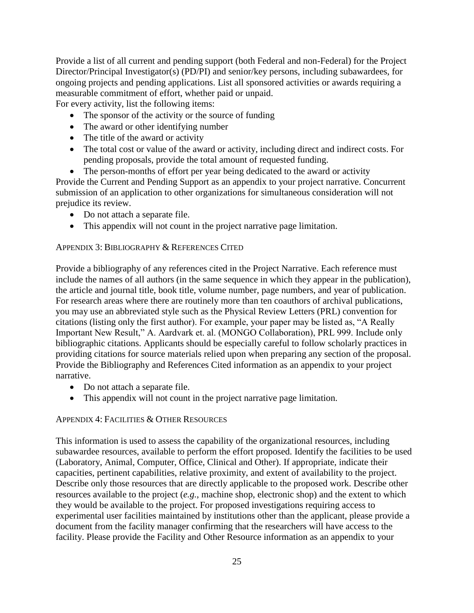Provide a list of all current and pending support (both Federal and non-Federal) for the Project Director/Principal Investigator(s) (PD/PI) and senior/key persons, including subawardees, for ongoing projects and pending applications. List all sponsored activities or awards requiring a measurable commitment of effort, whether paid or unpaid. For every activity, list the following items:

- The sponsor of the activity or the source of funding
- The award or other identifying number
- The title of the award or activity
- The total cost or value of the award or activity, including direct and indirect costs. For pending proposals, provide the total amount of requested funding.
- The person-months of effort per year being dedicated to the award or activity

Provide the Current and Pending Support as an appendix to your project narrative. Concurrent submission of an application to other organizations for simultaneous consideration will not prejudice its review.

- Do not attach a separate file.
- This appendix will not count in the project narrative page limitation.

### APPENDIX 3: BIBLIOGRAPHY & REFERENCES CITED

Provide a bibliography of any references cited in the Project Narrative. Each reference must include the names of all authors (in the same sequence in which they appear in the publication), the article and journal title, book title, volume number, page numbers, and year of publication. For research areas where there are routinely more than ten coauthors of archival publications, you may use an abbreviated style such as the Physical Review Letters (PRL) convention for citations (listing only the first author). For example, your paper may be listed as, "A Really Important New Result," A. Aardvark et. al. (MONGO Collaboration), PRL 999. Include only bibliographic citations. Applicants should be especially careful to follow scholarly practices in providing citations for source materials relied upon when preparing any section of the proposal. Provide the Bibliography and References Cited information as an appendix to your project narrative.

- Do not attach a separate file.
- This appendix will not count in the project narrative page limitation.

### APPENDIX 4: FACILITIES & OTHER RESOURCES

This information is used to assess the capability of the organizational resources, including subawardee resources, available to perform the effort proposed. Identify the facilities to be used (Laboratory, Animal, Computer, Office, Clinical and Other). If appropriate, indicate their capacities, pertinent capabilities, relative proximity, and extent of availability to the project. Describe only those resources that are directly applicable to the proposed work. Describe other resources available to the project (*e.g.*, machine shop, electronic shop) and the extent to which they would be available to the project. For proposed investigations requiring access to experimental user facilities maintained by institutions other than the applicant, please provide a document from the facility manager confirming that the researchers will have access to the facility. Please provide the Facility and Other Resource information as an appendix to your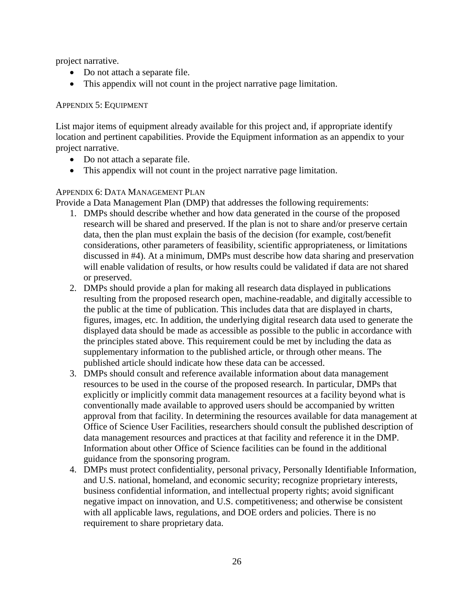project narrative.

- Do not attach a separate file.
- This appendix will not count in the project narrative page limitation.

### APPENDIX 5: EQUIPMENT

List major items of equipment already available for this project and, if appropriate identify location and pertinent capabilities. Provide the Equipment information as an appendix to your project narrative.

- Do not attach a separate file.
- This appendix will not count in the project narrative page limitation.

# APPENDIX 6: DATA MANAGEMENT PLAN

Provide a Data Management Plan (DMP) that addresses the following requirements:

- 1. DMPs should describe whether and how data generated in the course of the proposed research will be shared and preserved. If the plan is not to share and/or preserve certain data, then the plan must explain the basis of the decision (for example, cost/benefit considerations, other parameters of feasibility, scientific appropriateness, or limitations discussed in #4). At a minimum, DMPs must describe how data sharing and preservation will enable validation of results, or how results could be validated if data are not shared or preserved.
- 2. DMPs should provide a plan for making all research data displayed in publications resulting from the proposed research open, machine-readable, and digitally accessible to the public at the time of publication. This includes data that are displayed in charts, figures, images, etc. In addition, the underlying digital research data used to generate the displayed data should be made as accessible as possible to the public in accordance with the principles stated above. This requirement could be met by including the data as supplementary information to the published article, or through other means. The published article should indicate how these data can be accessed.
- 3. DMPs should consult and reference available information about data management resources to be used in the course of the proposed research. In particular, DMPs that explicitly or implicitly commit data management resources at a facility beyond what is conventionally made available to approved users should be accompanied by written approval from that facility. In determining the resources available for data management at Office of Science User Facilities, researchers should consult the published description of data management resources and practices at that facility and reference it in the DMP. Information about other Office of Science facilities can be found in the additional guidance from the sponsoring program.
- 4. DMPs must protect confidentiality, personal privacy, Personally Identifiable Information, and U.S. national, homeland, and economic security; recognize proprietary interests, business confidential information, and intellectual property rights; avoid significant negative impact on innovation, and U.S. competitiveness; and otherwise be consistent with all applicable laws, regulations, and DOE orders and policies. There is no requirement to share proprietary data.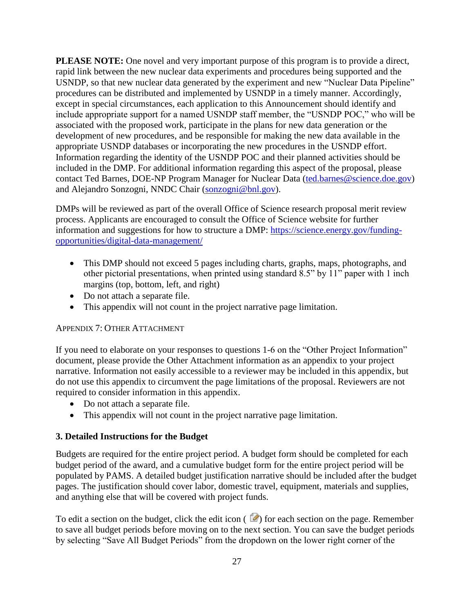**PLEASE NOTE:** One novel and very important purpose of this program is to provide a direct, rapid link between the new nuclear data experiments and procedures being supported and the USNDP, so that new nuclear data generated by the experiment and new "Nuclear Data Pipeline" procedures can be distributed and implemented by USNDP in a timely manner. Accordingly, except in special circumstances, each application to this Announcement should identify and include appropriate support for a named USNDP staff member, the "USNDP POC," who will be associated with the proposed work, participate in the plans for new data generation or the development of new procedures, and be responsible for making the new data available in the appropriate USNDP databases or incorporating the new procedures in the USNDP effort. Information regarding the identity of the USNDP POC and their planned activities should be included in the DMP. For additional information regarding this aspect of the proposal, please contact Ted Barnes, DOE-NP Program Manager for Nuclear Data [\(ted.barnes@science.doe.gov\)](mailto:ted.barnes@science.doe.gov) and Alejandro Sonzogni, NNDC Chair [\(sonzogni@bnl.gov\)](mailto:sonzogni@bnl.gov).

DMPs will be reviewed as part of the overall Office of Science research proposal merit review process. Applicants are encouraged to consult the Office of Science website for further information and suggestions for how to structure a DMP: [https://science.energy.gov/funding](https://science.energy.gov/funding-opportunities/digital-data-management/)[opportunities/digital-data-management/](https://science.energy.gov/funding-opportunities/digital-data-management/)

- This DMP should not exceed 5 pages including charts, graphs, maps, photographs, and other pictorial presentations, when printed using standard 8.5" by 11" paper with 1 inch margins (top, bottom, left, and right)
- Do not attach a separate file.
- This appendix will not count in the project narrative page limitation.

### APPENDIX 7: OTHER ATTACHMENT

If you need to elaborate on your responses to questions 1-6 on the "Other Project Information" document, please provide the Other Attachment information as an appendix to your project narrative. Information not easily accessible to a reviewer may be included in this appendix, but do not use this appendix to circumvent the page limitations of the proposal. Reviewers are not required to consider information in this appendix.

- Do not attach a separate file.
- This appendix will not count in the project narrative page limitation.

# **3. Detailed Instructions for the Budget**

Budgets are required for the entire project period. A budget form should be completed for each budget period of the award, and a cumulative budget form for the entire project period will be populated by PAMS. A detailed budget justification narrative should be included after the budget pages. The justification should cover labor, domestic travel, equipment, materials and supplies, and anything else that will be covered with project funds.

To edit a section on the budget, click the edit icon ( $\heartsuit$ ) for each section on the page. Remember to save all budget periods before moving on to the next section. You can save the budget periods by selecting "Save All Budget Periods" from the dropdown on the lower right corner of the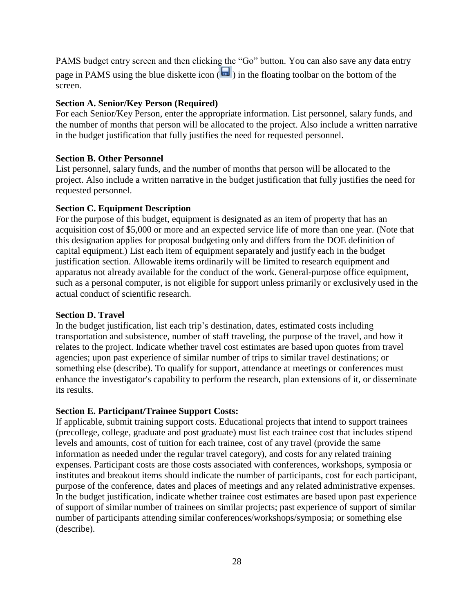PAMS budget entry screen and then clicking the "Go" button. You can also save any data entry page in PAMS using the blue diskette icon  $\sqrt{m}$ ) in the floating toolbar on the bottom of the screen.

#### **Section A. Senior/Key Person (Required)**

For each Senior/Key Person, enter the appropriate information. List personnel, salary funds, and the number of months that person will be allocated to the project. Also include a written narrative in the budget justification that fully justifies the need for requested personnel.

#### **Section B. Other Personnel**

List personnel, salary funds, and the number of months that person will be allocated to the project. Also include a written narrative in the budget justification that fully justifies the need for requested personnel.

#### **Section C. Equipment Description**

For the purpose of this budget, equipment is designated as an item of property that has an acquisition cost of \$5,000 or more and an expected service life of more than one year. (Note that this designation applies for proposal budgeting only and differs from the DOE definition of capital equipment.) List each item of equipment separately and justify each in the budget justification section. Allowable items ordinarily will be limited to research equipment and apparatus not already available for the conduct of the work. General-purpose office equipment, such as a personal computer, is not eligible for support unless primarily or exclusively used in the actual conduct of scientific research.

#### **Section D. Travel**

In the budget justification, list each trip's destination, dates, estimated costs including transportation and subsistence, number of staff traveling, the purpose of the travel, and how it relates to the project. Indicate whether travel cost estimates are based upon quotes from travel agencies; upon past experience of similar number of trips to similar travel destinations; or something else (describe). To qualify for support, attendance at meetings or conferences must enhance the investigator's capability to perform the research, plan extensions of it, or disseminate its results.

#### **Section E. Participant/Trainee Support Costs:**

If applicable, submit training support costs. Educational projects that intend to support trainees (precollege, college, graduate and post graduate) must list each trainee cost that includes stipend levels and amounts, cost of tuition for each trainee, cost of any travel (provide the same information as needed under the regular travel category), and costs for any related training expenses. Participant costs are those costs associated with conferences, workshops, symposia or institutes and breakout items should indicate the number of participants, cost for each participant, purpose of the conference, dates and places of meetings and any related administrative expenses. In the budget justification, indicate whether trainee cost estimates are based upon past experience of support of similar number of trainees on similar projects; past experience of support of similar number of participants attending similar conferences/workshops/symposia; or something else (describe).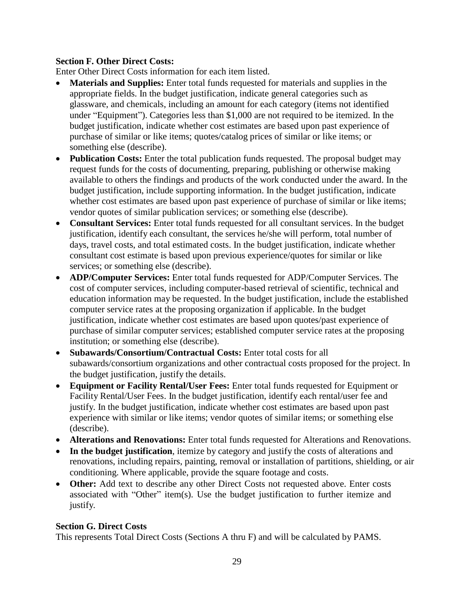# **Section F. Other Direct Costs:**

Enter Other Direct Costs information for each item listed.

- **Materials and Supplies:** Enter total funds requested for materials and supplies in the appropriate fields. In the budget justification, indicate general categories such as glassware, and chemicals, including an amount for each category (items not identified under "Equipment"). Categories less than \$1,000 are not required to be itemized. In the budget justification, indicate whether cost estimates are based upon past experience of purchase of similar or like items; quotes/catalog prices of similar or like items; or something else (describe).
- Publication Costs: Enter the total publication funds requested. The proposal budget may request funds for the costs of documenting, preparing, publishing or otherwise making available to others the findings and products of the work conducted under the award. In the budget justification, include supporting information. In the budget justification, indicate whether cost estimates are based upon past experience of purchase of similar or like items; vendor quotes of similar publication services; or something else (describe).
- **Consultant Services:** Enter total funds requested for all consultant services. In the budget justification, identify each consultant, the services he/she will perform, total number of days, travel costs, and total estimated costs. In the budget justification, indicate whether consultant cost estimate is based upon previous experience/quotes for similar or like services; or something else (describe).
- **ADP/Computer Services:** Enter total funds requested for ADP/Computer Services. The cost of computer services, including computer-based retrieval of scientific, technical and education information may be requested. In the budget justification, include the established computer service rates at the proposing organization if applicable. In the budget justification, indicate whether cost estimates are based upon quotes/past experience of purchase of similar computer services; established computer service rates at the proposing institution; or something else (describe).
- **Subawards/Consortium/Contractual Costs:** Enter total costs for all subawards/consortium organizations and other contractual costs proposed for the project. In the budget justification, justify the details.
- **Equipment or Facility Rental/User Fees:** Enter total funds requested for Equipment or Facility Rental/User Fees. In the budget justification, identify each rental/user fee and justify. In the budget justification, indicate whether cost estimates are based upon past experience with similar or like items; vendor quotes of similar items; or something else (describe).
- **Alterations and Renovations:** Enter total funds requested for Alterations and Renovations.
- **In the budget justification**, itemize by category and justify the costs of alterations and renovations, including repairs, painting, removal or installation of partitions, shielding, or air conditioning. Where applicable, provide the square footage and costs.
- **Other:** Add text to describe any other Direct Costs not requested above. Enter costs associated with "Other" item(s). Use the budget justification to further itemize and justify.

### **Section G. Direct Costs**

This represents Total Direct Costs (Sections A thru F) and will be calculated by PAMS.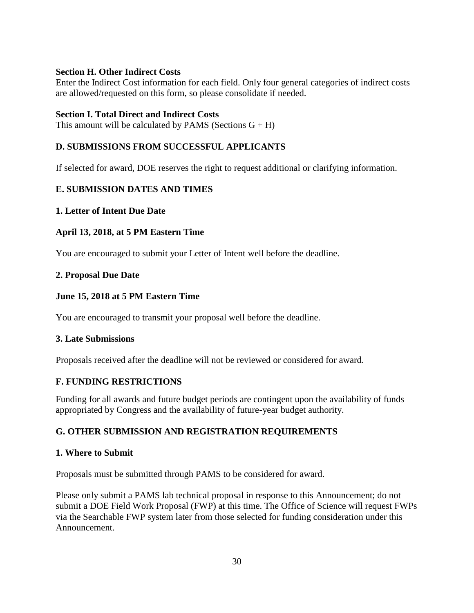### **Section H. Other Indirect Costs**

Enter the Indirect Cost information for each field. Only four general categories of indirect costs are allowed/requested on this form, so please consolidate if needed.

### **Section I. Total Direct and Indirect Costs**

This amount will be calculated by PAMS (Sections  $G + H$ )

# <span id="page-35-0"></span>**D. SUBMISSIONS FROM SUCCESSFUL APPLICANTS**

If selected for award, DOE reserves the right to request additional or clarifying information.

# <span id="page-35-1"></span>**E. SUBMISSION DATES AND TIMES**

# <span id="page-35-4"></span>**1. Letter of Intent Due Date**

# **April 13, 2018, at 5 PM Eastern Time**

You are encouraged to submit your Letter of Intent well before the deadline.

# <span id="page-35-5"></span>**2. Proposal Due Date**

# **June 15, 2018 at 5 PM Eastern Time**

You are encouraged to transmit your proposal well before the deadline.

### **3. Late Submissions**

Proposals received after the deadline will not be reviewed or considered for award.

# <span id="page-35-2"></span>**F. FUNDING RESTRICTIONS**

Funding for all awards and future budget periods are contingent upon the availability of funds appropriated by Congress and the availability of future-year budget authority.

# <span id="page-35-3"></span>**G. OTHER SUBMISSION AND REGISTRATION REQUIREMENTS**

### **1. Where to Submit**

Proposals must be submitted through PAMS to be considered for award.

Please only submit a PAMS lab technical proposal in response to this Announcement; do not submit a DOE Field Work Proposal (FWP) at this time. The Office of Science will request FWPs via the Searchable FWP system later from those selected for funding consideration under this Announcement.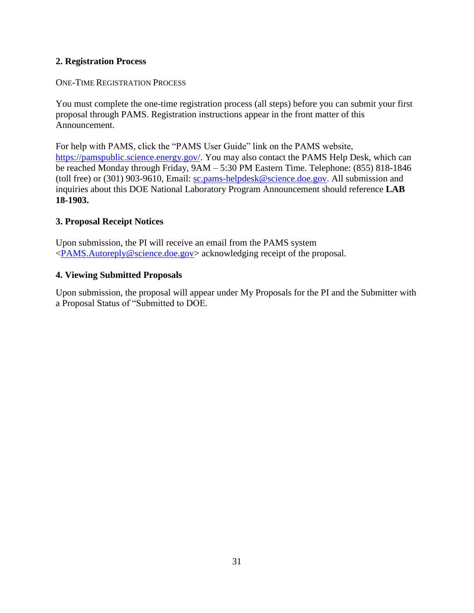# **2. Registration Process**

### ONE-TIME REGISTRATION PROCESS

You must complete the one-time registration process (all steps) before you can submit your first proposal through PAMS. Registration instructions appear in the front matter of this Announcement.

For help with PAMS, click the "PAMS User Guide" link on the PAMS website, [https://pamspublic.science.energy.gov/.](https://pamspublic.science.energy.gov/) You may also contact the PAMS Help Desk, which can be reached Monday through Friday, 9AM – 5:30 PM Eastern Time. Telephone: (855) 818-1846 (toll free) or (301) 903-9610, Email: [sc.pams-helpdesk@science.doe.gov.](mailto:sc.pams-helpdesk@science.doe.gov) All submission and inquiries about this DOE National Laboratory Program Announcement should reference **LAB 18-1903.**

### **3. Proposal Receipt Notices**

Upon submission, the PI will receive an email from the PAMS system [<PAMS.Autoreply@science.doe.gov>](file://///scnas5p.sc.science.doe.gov/blevili/My%20Documents/_Daily%20Business/_SC-2/_Early%20Career%20Research%20Program/FY2014/Solicitations/PAMS.Autoreply@science.doe.gov) acknowledging receipt of the proposal.

### **4. Viewing Submitted Proposals**

Upon submission, the proposal will appear under My Proposals for the PI and the Submitter with a Proposal Status of "Submitted to DOE.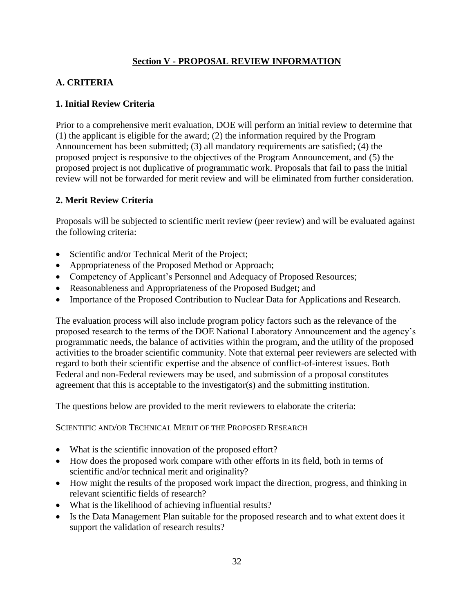# **Section V - PROPOSAL REVIEW INFORMATION**

# <span id="page-37-1"></span><span id="page-37-0"></span>**A. CRITERIA**

# **1. Initial Review Criteria**

Prior to a comprehensive merit evaluation, DOE will perform an initial review to determine that (1) the applicant is eligible for the award; (2) the information required by the Program Announcement has been submitted; (3) all mandatory requirements are satisfied; (4) the proposed project is responsive to the objectives of the Program Announcement, and (5) the proposed project is not duplicative of programmatic work. Proposals that fail to pass the initial review will not be forwarded for merit review and will be eliminated from further consideration.

# **2. Merit Review Criteria**

Proposals will be subjected to scientific merit review (peer review) and will be evaluated against the following criteria:

- Scientific and/or Technical Merit of the Project;
- Appropriateness of the Proposed Method or Approach;
- Competency of Applicant's Personnel and Adequacy of Proposed Resources;
- Reasonableness and Appropriateness of the Proposed Budget; and
- Importance of the Proposed Contribution to Nuclear Data for Applications and Research.

The evaluation process will also include program policy factors such as the relevance of the proposed research to the terms of the DOE National Laboratory Announcement and the agency's programmatic needs, the balance of activities within the program, and the utility of the proposed activities to the broader scientific community. Note that external peer reviewers are selected with regard to both their scientific expertise and the absence of conflict-of-interest issues. Both Federal and non-Federal reviewers may be used, and submission of a proposal constitutes agreement that this is acceptable to the investigator(s) and the submitting institution.

The questions below are provided to the merit reviewers to elaborate the criteria:

SCIENTIFIC AND/OR TECHNICAL MERIT OF THE PROPOSED RESEARCH

- What is the scientific innovation of the proposed effort?
- How does the proposed work compare with other efforts in its field, both in terms of scientific and/or technical merit and originality?
- How might the results of the proposed work impact the direction, progress, and thinking in relevant scientific fields of research?
- What is the likelihood of achieving influential results?
- Is the Data Management Plan suitable for the proposed research and to what extent does it support the validation of research results?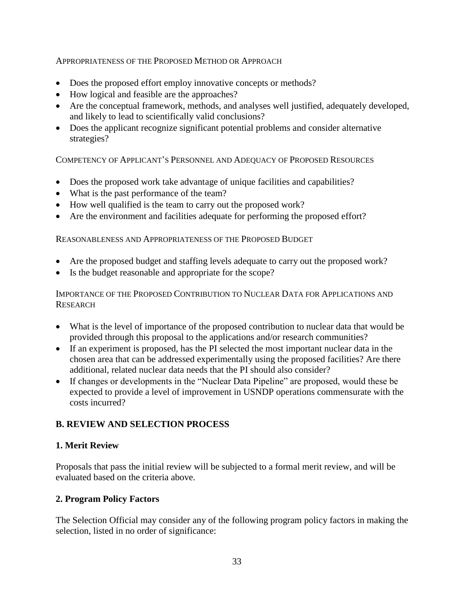### APPROPRIATENESS OF THE PROPOSED METHOD OR APPROACH

- Does the proposed effort employ innovative concepts or methods?
- How logical and feasible are the approaches?
- Are the conceptual framework, methods, and analyses well justified, adequately developed, and likely to lead to scientifically valid conclusions?
- Does the applicant recognize significant potential problems and consider alternative strategies?

COMPETENCY OF APPLICANT'S PERSONNEL AND ADEQUACY OF PROPOSED RESOURCES

- Does the proposed work take advantage of unique facilities and capabilities?
- What is the past performance of the team?
- How well qualified is the team to carry out the proposed work?
- Are the environment and facilities adequate for performing the proposed effort?

### REASONABLENESS AND APPROPRIATENESS OF THE PROPOSED BUDGET

- Are the proposed budget and staffing levels adequate to carry out the proposed work?
- Is the budget reasonable and appropriate for the scope?

# IMPORTANCE OF THE PROPOSED CONTRIBUTION TO NUCLEAR DATA FOR APPLICATIONS AND **RESEARCH**

- What is the level of importance of the proposed contribution to nuclear data that would be provided through this proposal to the applications and/or research communities?
- If an experiment is proposed, has the PI selected the most important nuclear data in the chosen area that can be addressed experimentally using the proposed facilities? Are there additional, related nuclear data needs that the PI should also consider?
- If changes or developments in the "Nuclear Data Pipeline" are proposed, would these be expected to provide a level of improvement in USNDP operations commensurate with the costs incurred?

# <span id="page-38-0"></span>**B. REVIEW AND SELECTION PROCESS**

### **1. Merit Review**

Proposals that pass the initial review will be subjected to a formal merit review, and will be evaluated based on the criteria above.

### **2. Program Policy Factors**

The Selection Official may consider any of the following program policy factors in making the selection, listed in no order of significance: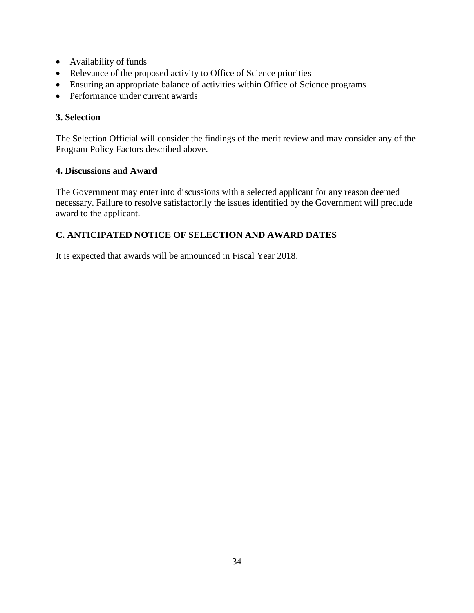- Availability of funds
- Relevance of the proposed activity to Office of Science priorities
- Ensuring an appropriate balance of activities within Office of Science programs
- Performance under current awards

# **3. Selection**

The Selection Official will consider the findings of the merit review and may consider any of the Program Policy Factors described above.

# **4. Discussions and Award**

The Government may enter into discussions with a selected applicant for any reason deemed necessary. Failure to resolve satisfactorily the issues identified by the Government will preclude award to the applicant.

# <span id="page-39-0"></span>**C. ANTICIPATED NOTICE OF SELECTION AND AWARD DATES**

It is expected that awards will be announced in Fiscal Year 2018.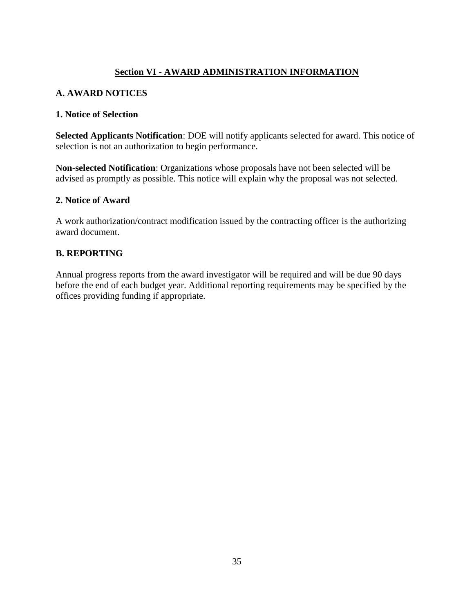# **Section VI - AWARD ADMINISTRATION INFORMATION**

# <span id="page-40-1"></span><span id="page-40-0"></span>**A. AWARD NOTICES**

### **1. Notice of Selection**

**Selected Applicants Notification**: DOE will notify applicants selected for award. This notice of selection is not an authorization to begin performance.

**Non-selected Notification**: Organizations whose proposals have not been selected will be advised as promptly as possible. This notice will explain why the proposal was not selected.

### **2. Notice of Award**

A work authorization/contract modification issued by the contracting officer is the authorizing award document.

### <span id="page-40-2"></span>**B. REPORTING**

Annual progress reports from the award investigator will be required and will be due 90 days before the end of each budget year. Additional reporting requirements may be specified by the offices providing funding if appropriate.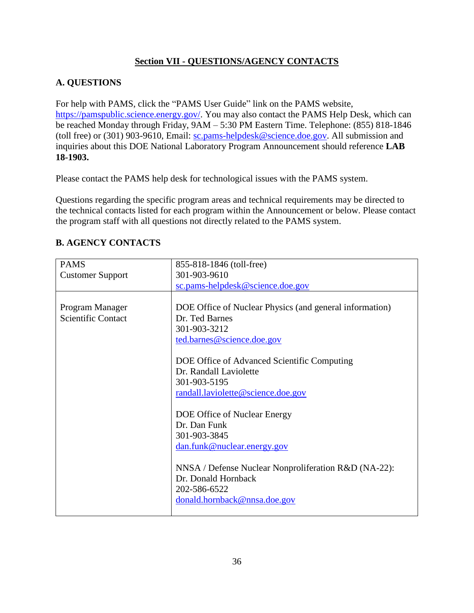# **Section VII - QUESTIONS/AGENCY CONTACTS**

# <span id="page-41-1"></span><span id="page-41-0"></span>**A. QUESTIONS**

For help with PAMS, click the "PAMS User Guide" link on the PAMS website, [https://pamspublic.science.energy.gov/.](https://pamspublic.science.energy.gov/) You may also contact the PAMS Help Desk, which can be reached Monday through Friday, 9AM – 5:30 PM Eastern Time. Telephone: (855) 818-1846 (toll free) or (301) 903-9610, Email: [sc.pams-helpdesk@science.doe.gov.](mailto:sc.pams-helpdesk@science.doe.gov) All submission and inquiries about this DOE National Laboratory Program Announcement should reference **LAB 18-1903.**

Please contact the PAMS help desk for technological issues with the PAMS system.

Questions regarding the specific program areas and technical requirements may be directed to the technical contacts listed for each program within the Announcement or below. Please contact the program staff with all questions not directly related to the PAMS system.

| <b>PAMS</b>               | 855-818-1846 (toll-free)                                |  |
|---------------------------|---------------------------------------------------------|--|
| <b>Customer Support</b>   | 301-903-9610                                            |  |
|                           | sc.pams-helpdesk@science.doe.gov                        |  |
|                           |                                                         |  |
| Program Manager           | DOE Office of Nuclear Physics (and general information) |  |
| <b>Scientific Contact</b> | Dr. Ted Barnes                                          |  |
|                           | 301-903-3212                                            |  |
|                           | ted.barnes@science.doe.gov                              |  |
|                           |                                                         |  |
|                           | DOE Office of Advanced Scientific Computing             |  |
|                           | Dr. Randall Laviolette                                  |  |
|                           | 301-903-5195                                            |  |
|                           | randall.laviolette@science.doe.gov                      |  |
|                           |                                                         |  |
|                           | DOE Office of Nuclear Energy                            |  |
|                           | Dr. Dan Funk                                            |  |
|                           | 301-903-3845                                            |  |
|                           | dan.funk@nuclear.energy.gov                             |  |
|                           |                                                         |  |
|                           | NNSA / Defense Nuclear Nonproliferation R&D (NA-22):    |  |
|                           | Dr. Donald Hornback                                     |  |
|                           | 202-586-6522                                            |  |
|                           | donald.hornback@nnsa.doe.gov                            |  |
|                           |                                                         |  |

# <span id="page-41-2"></span>**B. AGENCY CONTACTS**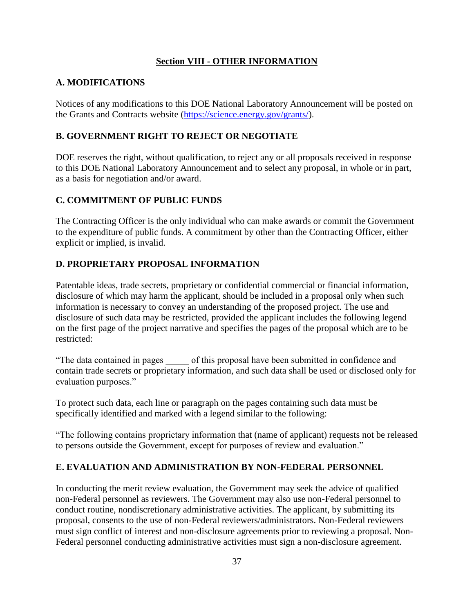# **Section VIII - OTHER INFORMATION**

# <span id="page-42-1"></span><span id="page-42-0"></span>**A. MODIFICATIONS**

Notices of any modifications to this DOE National Laboratory Announcement will be posted on the Grants and Contracts website [\(https://science.energy.gov/grants/\)](https://science.energy.gov/grants/).

# <span id="page-42-2"></span>**B. GOVERNMENT RIGHT TO REJECT OR NEGOTIATE**

DOE reserves the right, without qualification, to reject any or all proposals received in response to this DOE National Laboratory Announcement and to select any proposal, in whole or in part, as a basis for negotiation and/or award.

# <span id="page-42-3"></span>**C. COMMITMENT OF PUBLIC FUNDS**

The Contracting Officer is the only individual who can make awards or commit the Government to the expenditure of public funds. A commitment by other than the Contracting Officer, either explicit or implied, is invalid.

# <span id="page-42-4"></span>**D. PROPRIETARY PROPOSAL INFORMATION**

Patentable ideas, trade secrets, proprietary or confidential commercial or financial information, disclosure of which may harm the applicant, should be included in a proposal only when such information is necessary to convey an understanding of the proposed project. The use and disclosure of such data may be restricted, provided the applicant includes the following legend on the first page of the project narrative and specifies the pages of the proposal which are to be restricted:

"The data contained in pages \_\_\_\_\_ of this proposal have been submitted in confidence and contain trade secrets or proprietary information, and such data shall be used or disclosed only for evaluation purposes."

To protect such data, each line or paragraph on the pages containing such data must be specifically identified and marked with a legend similar to the following:

"The following contains proprietary information that (name of applicant) requests not be released to persons outside the Government, except for purposes of review and evaluation."

# <span id="page-42-5"></span>**E. EVALUATION AND ADMINISTRATION BY NON-FEDERAL PERSONNEL**

In conducting the merit review evaluation, the Government may seek the advice of qualified non-Federal personnel as reviewers. The Government may also use non-Federal personnel to conduct routine, nondiscretionary administrative activities. The applicant, by submitting its proposal, consents to the use of non-Federal reviewers/administrators. Non-Federal reviewers must sign conflict of interest and non-disclosure agreements prior to reviewing a proposal. Non-Federal personnel conducting administrative activities must sign a non-disclosure agreement.